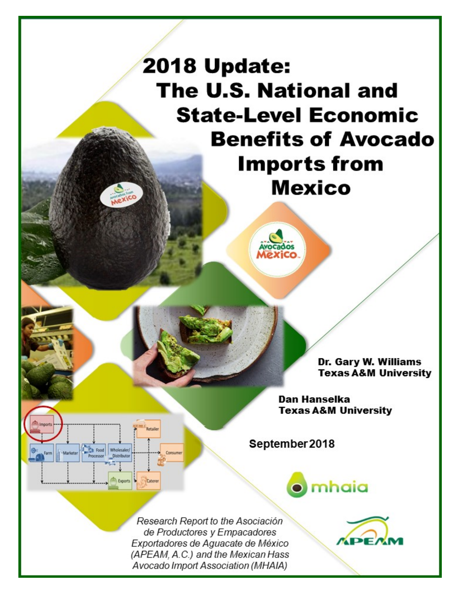# 2018 Update: **The U.S. National and State-Level Economic Benefits of Avocado Imports from Mexico**



Dr. Gary W. Williams **Texas A&M University** 

Dan Hanselka **Texas A&M University** 

mhaia

September 2018

Research Report to the Asociación de Productores y Empacadores Exportadores de Aguacate de México (APEAM, A.C.) and the Mexican Hass Avocado Import Association (MHAIA)

**The Food** 

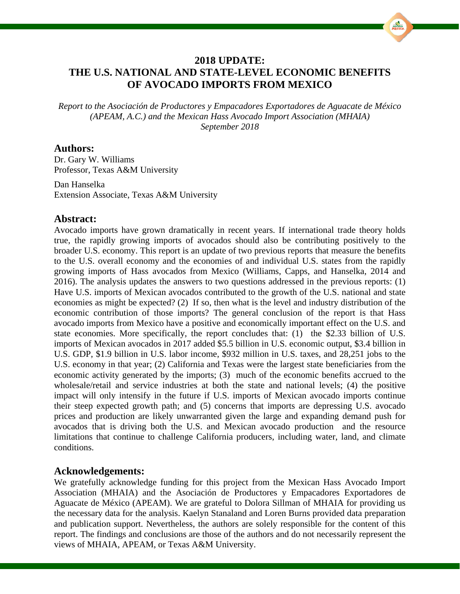### **2018 UPDATE: THE U.S. NATIONAL AND STATE-LEVEL ECONOMIC BENEFITS OF AVOCADO IMPORTS FROM MEXICO**

 *Report to the Asociación de Productores y Empacadores Exportadores de Aguacate de México September 2018 (APEAM, A.C.) and the Mexican Hass Avocado Import Association (MHAIA)* 

### **Authors:**

Dr. Gary W. Williams Professor, Texas A&M University

Dan Hanselka Extension Associate, Texas A&M University

### **Abstract:**

 true, the rapidly growing imports of avocados should also be contributing positively to the broader U.S. economy. This report is an update of two previous reports that measure the benefits state economies. More specifically, the report concludes that: (1) the \$2.33 billion of U.S. U.S. economy in that year; (2) California and Texas were the largest state beneficiaries from the economic activity generated by the imports; (3) much of the economic benefits accrued to the Avocado imports have grown dramatically in recent years. If international trade theory holds to the U.S. overall economy and the economies of and individual U.S. states from the rapidly growing imports of Hass avocados from Mexico (Williams, Capps, and Hanselka, 2014 and 2016). The analysis updates the answers to two questions addressed in the previous reports: (1) Have U.S. imports of Mexican avocados contributed to the growth of the U.S. national and state economies as might be expected? (2) If so, then what is the level and industry distribution of the economic contribution of those imports? The general conclusion of the report is that Hass avocado imports from Mexico have a positive and economically important effect on the U.S. and imports of Mexican avocados in 2017 added \$5.5 billion in U.S. economic output, \$3.4 billion in U.S. GDP, \$1.9 billion in U.S. labor income, \$932 million in U.S. taxes, and 28,251 jobs to the wholesale/retail and service industries at both the state and national levels; (4) the positive impact will only intensify in the future if U.S. imports of Mexican avocado imports continue their steep expected growth path; and (5) concerns that imports are depressing U.S. avocado prices and production are likely unwarranted given the large and expanding demand push for avocados that is driving both the U.S. and Mexican avocado production and the resource limitations that continue to challenge California producers, including water, land, and climate conditions.

### **Acknowledgements:**

 Association (MHAIA) and the Asociación de Productores y Empacadores Exportadores de report. The findings and conclusions are those of the authors and do not necessarily represent the We gratefully acknowledge funding for this project from the Mexican Hass Avocado Import Aguacate de México (APEAM). We are grateful to Dolora Sillman of MHAIA for providing us the necessary data for the analysis. Kaelyn Stanaland and Loren Burns provided data preparation and publication support. Nevertheless, the authors are solely responsible for the content of this views of MHAIA, APEAM, or Texas A&M University.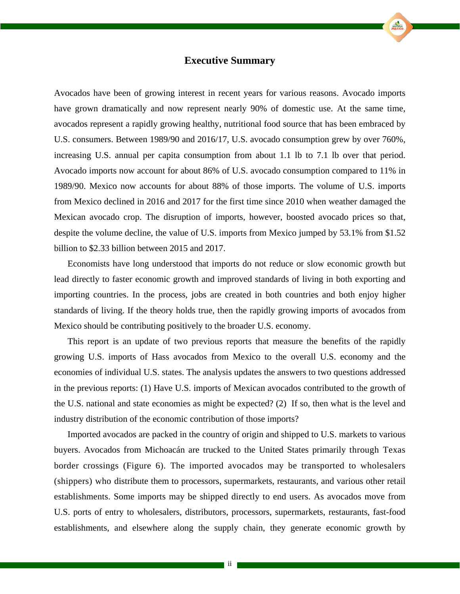### **Executive Summary**

 increasing U.S. annual per capita consumption from about 1.1 lb to 7.1 lb over that period. Avocados have been of growing interest in recent years for various reasons. Avocado imports have grown dramatically and now represent nearly 90% of domestic use. At the same time, avocados represent a rapidly growing healthy, nutritional food source that has been embraced by U.S. consumers. Between 1989/90 and 2016/17, U.S. avocado consumption grew by over 760%, Avocado imports now account for about 86% of U.S. avocado consumption compared to 11% in 1989/90. Mexico now accounts for about 88% of those imports. The volume of U.S. imports from Mexico declined in 2016 and 2017 for the first time since 2010 when weather damaged the Mexican avocado crop. The disruption of imports, however, boosted avocado prices so that, despite the volume decline, the value of U.S. imports from Mexico jumped by 53.1% from \$1.52 billion to \$2.33 billion between 2015 and 2017.

 Economists have long understood that imports do not reduce or slow economic growth but lead directly to faster economic growth and improved standards of living in both exporting and importing countries. In the process, jobs are created in both countries and both enjoy higher standards of living. If the theory holds true, then the rapidly growing imports of avocados from Mexico should be contributing positively to the broader U.S. economy.

 the U.S. national and state economies as might be expected? (2) If so, then what is the level and industry distribution of the economic contribution of those imports? industry distribution of the economic contribution of those imports?<br>Imported avocados are packed in the country of origin and shipped to U.S. markets to various This report is an update of two previous reports that measure the benefits of the rapidly growing U.S. imports of Hass avocados from Mexico to the overall U.S. economy and the economies of individual U.S. states. The analysis updates the answers to two questions addressed in the previous reports: (1) Have U.S. imports of Mexican avocados contributed to the growth of

 (shippers) who distribute them to processors, supermarkets, restaurants, and various other retail buyers. Avocados from Michoacán are trucked to the United States primarily through Texas border crossings (Figure 6). The imported avocados may be transported to wholesalers establishments. Some imports may be shipped directly to end users. As avocados move from U.S. ports of entry to wholesalers, distributors, processors, supermarkets, restaurants, fast-food establishments, and elsewhere along the supply chain, they generate economic growth by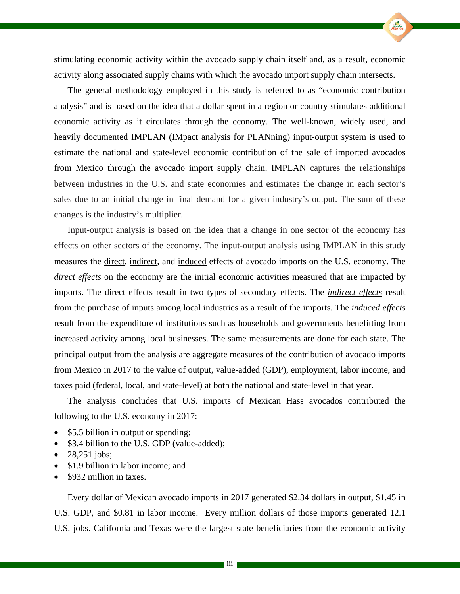stimulating economic activity within the avocado supply chain itself and, as a result, economic activity along associated supply chains with which the avocado import supply chain intersects.

changes is the industry's multiplier. The general methodology employed in this study is referred to as "economic contribution analysis" and is based on the idea that a dollar spent in a region or country stimulates additional economic activity as it circulates through the economy. The well-known, widely used, and heavily documented IMPLAN (IMpact analysis for PLANning) input-output system is used to estimate the national and state-level economic contribution of the sale of imported avocados from Mexico through the avocado import supply chain. IMPLAN captures the relationships between industries in the U.S. and state economies and estimates the change in each sector's sales due to an initial change in final demand for a given industry's output. The sum of these

 principal output from the analysis are aggregate measures of the contribution of avocado imports Input-output analysis is based on the idea that a change in one sector of the economy has effects on other sectors of the economy. The input-output analysis using IMPLAN in this study measures the direct, indirect, and induced effects of avocado imports on the U.S. economy. The *direct effects* on the economy are the initial economic activities measured that are impacted by imports. The direct effects result in two types of secondary effects. The *indirect effects* result from the purchase of inputs among local industries as a result of the imports. The *induced effects*  result from the expenditure of institutions such as households and governments benefitting from increased activity among local businesses. The same measurements are done for each state. The from Mexico in 2017 to the value of output, value-added (GDP), employment, labor income, and taxes paid (federal, local, and state-level) at both the national and state-level in that year.

The analysis concludes that U.S. imports of Mexican Hass avocados contributed the following to the U.S. economy in 2017:

- \$5.5 billion in output or spending;
- \$3.4 billion to the U.S. GDP (value-added);
- 28,251 jobs;
- \$1.9 billion in labor income; and
- \$932 million in taxes.

 U.S. GDP, and \$0.81 in labor income. Every million dollars of those imports generated 12.1 Every dollar of Mexican avocado imports in 2017 generated \$2.34 dollars in output, \$1.45 in U.S. jobs. California and Texas were the largest state beneficiaries from the economic activity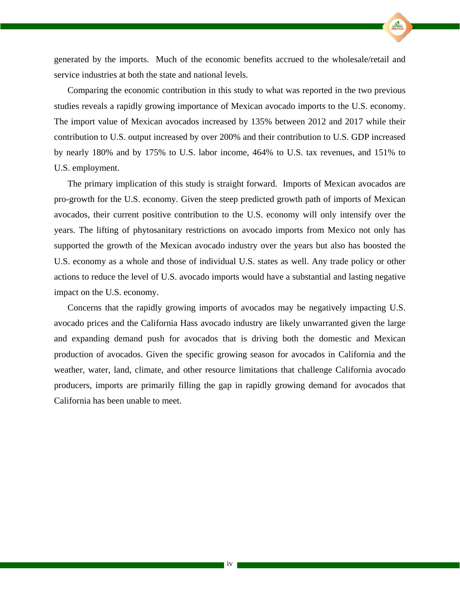generated by the imports. Much of the economic benefits accrued to the wholesale/retail and service industries at both the state and national levels.

 studies reveals a rapidly growing importance of Mexican avocado imports to the U.S. economy. Comparing the economic contribution in this study to what was reported in the two previous The import value of Mexican avocados increased by 135% between 2012 and 2017 while their contribution to U.S. output increased by over 200% and their contribution to U.S. GDP increased by nearly 180% and by 175% to U.S. labor income, 464% to U.S. tax revenues, and 151% to U.S. employment.

 The primary implication of this study is straight forward. Imports of Mexican avocados are pro-growth for the U.S. economy. Given the steep predicted growth path of imports of Mexican avocados, their current positive contribution to the U.S. economy will only intensify over the years. The lifting of phytosanitary restrictions on avocado imports from Mexico not only has supported the growth of the Mexican avocado industry over the years but also has boosted the U.S. economy as a whole and those of individual U.S. states as well. Any trade policy or other actions to reduce the level of U.S. avocado imports would have a substantial and lasting negative impact on the U.S. economy.

 producers, imports are primarily filling the gap in rapidly growing demand for avocados that Concerns that the rapidly growing imports of avocados may be negatively impacting U.S. avocado prices and the California Hass avocado industry are likely unwarranted given the large and expanding demand push for avocados that is driving both the domestic and Mexican production of avocados. Given the specific growing season for avocados in California and the weather, water, land, climate, and other resource limitations that challenge California avocado California has been unable to meet.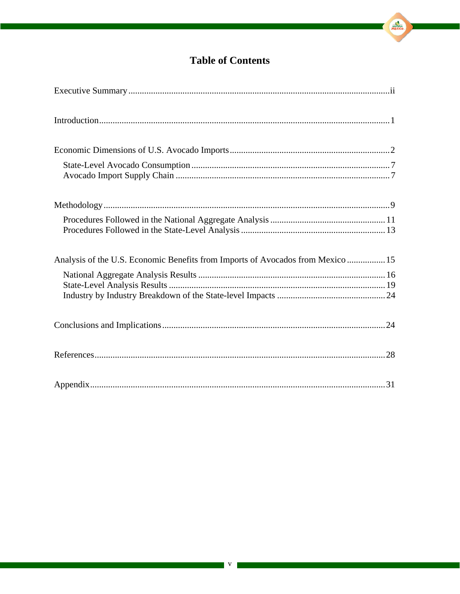# **Table of Contents**

Mexico

| Analysis of the U.S. Economic Benefits from Imports of Avocados from Mexico  15 |
|---------------------------------------------------------------------------------|
|                                                                                 |
|                                                                                 |
|                                                                                 |
|                                                                                 |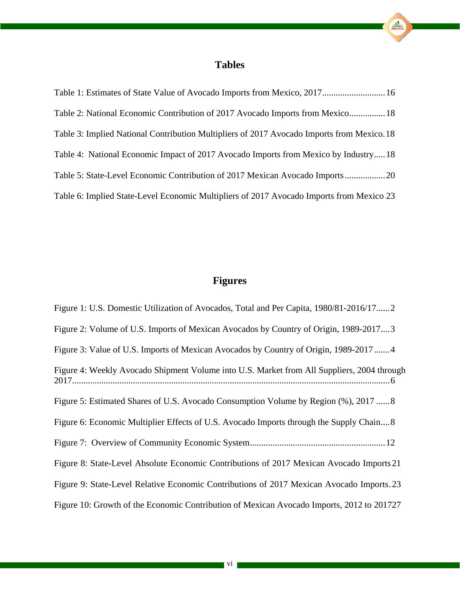### **Tables**

| Table 1: Estimates of State Value of Avocado Imports from Mexico, 2017 16                  |
|--------------------------------------------------------------------------------------------|
| Table 2: National Economic Contribution of 2017 Avocado Imports from Mexico 18             |
| Table 3: Implied National Contribution Multipliers of 2017 Avocado Imports from Mexico. 18 |
| Table 4: National Economic Impact of 2017 Avocado Imports from Mexico by Industry18        |
|                                                                                            |
| Table 6: Implied State-Level Economic Multipliers of 2017 Avocado Imports from Mexico 23   |

### **Figures**

 Figure 1: U.S. Domestic Utilization of Avocados, Total and Per Capita, 1980/81-2016/17......2 Figure 2: Volume of U.S. Imports of Mexican Avocados by Country of Origin, 1989-2017....3 Figure 3: Value of U.S. Imports of Mexican Avocados by Country of Origin, 1989-2017.......4 Figure 5: Estimated Shares of U.S. Avocado Consumption Volume by Region (%), 2017 ......8 Figure 6: Economic Multiplier Effects of U.S. Avocado Imports through the Supply Chain....8 Figure 9: State-Level Relative Economic Contributions of 2017 Mexican Avocado Imports.23 Figure 4: Weekly Avocado Shipment Volume into U.S. Market from All Suppliers, 2004 through 2017.............................................................................................................................................6 Figure 7: Overview of Community Economic System............................................................12 Figure 8: State-Level Absolute Economic Contributions of 2017 Mexican Avocado Imports21 Figure 10: Growth of the Economic Contribution of Mexican Avocado Imports, 2012 to 201727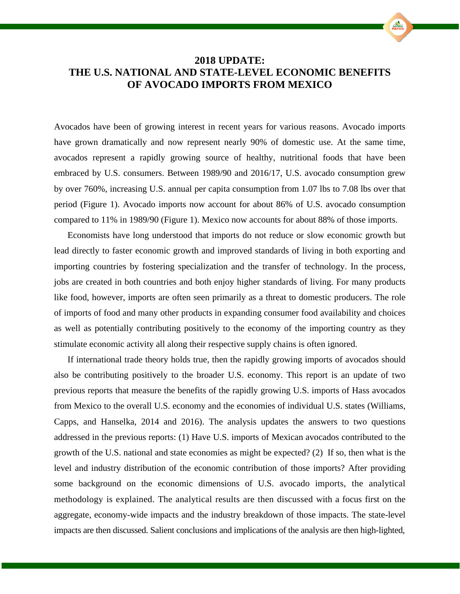### **2018 UPDATE: THE U.S. NATIONAL AND STATE-LEVEL ECONOMIC BENEFITS OF AVOCADO IMPORTS FROM MEXICO**

 avocados represent a rapidly growing source of healthy, nutritional foods that have been by over 760%, increasing U.S. annual per capita consumption from 1.07 lbs to 7.08 lbs over that compared to 11% in 1989/90 (Figure 1). Mexico now accounts for about 88% of those imports. Avocados have been of growing interest in recent years for various reasons. Avocado imports have grown dramatically and now represent nearly 90% of domestic use. At the same time, embraced by U.S. consumers. Between 1989/90 and 2016/17, U.S. avocado consumption grew period (Figure 1). Avocado imports now account for about 86% of U.S. avocado consumption

 Economists have long understood that imports do not reduce or slow economic growth but importing countries by fostering specialization and the transfer of technology. In the process, of imports of food and many other products in expanding consumer food availability and choices lead directly to faster economic growth and improved standards of living in both exporting and jobs are created in both countries and both enjoy higher standards of living. For many products like food, however, imports are often seen primarily as a threat to domestic producers. The role as well as potentially contributing positively to the economy of the importing country as they stimulate economic activity all along their respective supply chains is often ignored.

 growth of the U.S. national and state economies as might be expected? (2) If so, then what is the impacts are then discussed. Salient conclusions and implications of the analysis are then high-lighted, If international trade theory holds true, then the rapidly growing imports of avocados should also be contributing positively to the broader U.S. economy. This report is an update of two previous reports that measure the benefits of the rapidly growing U.S. imports of Hass avocados from Mexico to the overall U.S. economy and the economies of individual U.S. states (Williams, Capps, and Hanselka, 2014 and 2016). The analysis updates the answers to two questions addressed in the previous reports: (1) Have U.S. imports of Mexican avocados contributed to the level and industry distribution of the economic contribution of those imports? After providing some background on the economic dimensions of U.S. avocado imports, the analytical methodology is explained. The analytical results are then discussed with a focus first on the aggregate, economy-wide impacts and the industry breakdown of those impacts. The state-level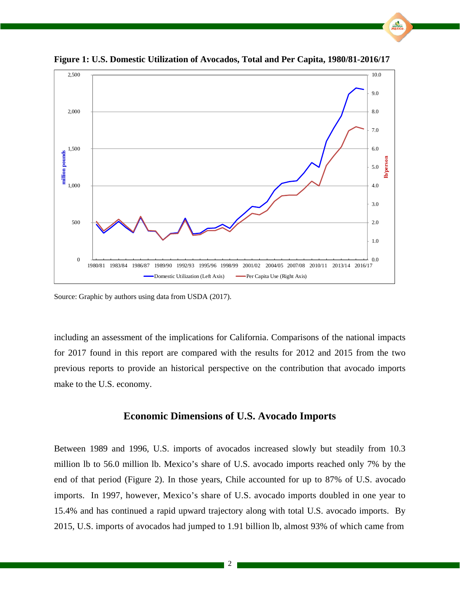

**Figure 1: U.S. Domestic Utilization of Avocados, Total and Per Capita, 1980/81-2016/17** 

Source: Graphic by authors using data from USDA (2017).

 previous reports to provide an historical perspective on the contribution that avocado imports including an assessment of the implications for California. Comparisons of the national impacts for 2017 found in this report are compared with the results for 2012 and 2015 from the two make to the U.S. economy.

### **Economic Dimensions of U.S. Avocado Imports**

 imports. In 1997, however, Mexico's share of U.S. avocado imports doubled in one year to 2015, U.S. imports of avocados had jumped to 1.91 billion lb, almost 93% of which came from Between 1989 and 1996, U.S. imports of avocados increased slowly but steadily from 10.3 million lb to 56.0 million lb. Mexico's share of U.S. avocado imports reached only 7% by the end of that period (Figure 2). In those years, Chile accounted for up to 87% of U.S. avocado 15.4% and has continued a rapid upward trajectory along with total U.S. avocado imports. By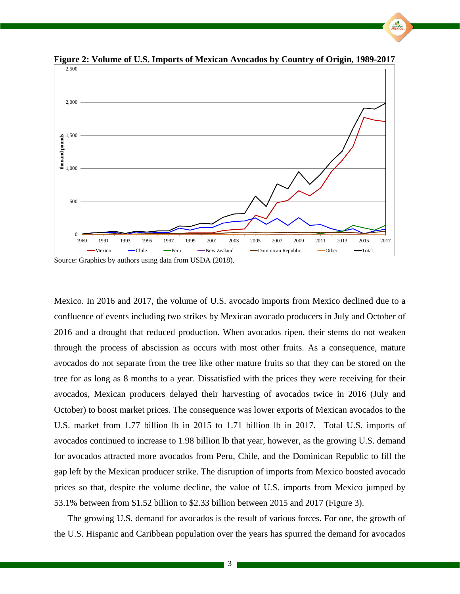

**Figure 2: Volume of U.S. Imports of Mexican Avocados by Country of Origin, 1989-2017** 

Source: Graphics by authors using data from USDA (2018).

 2016 and a drought that reduced production. When avocados ripen, their stems do not weaken 53.1% between from \$1.52 billion to \$2.33 billion between 2015 and 2017 (Figure 3). Mexico. In 2016 and 2017, the volume of U.S. avocado imports from Mexico declined due to a confluence of events including two strikes by Mexican avocado producers in July and October of through the process of abscission as occurs with most other fruits. As a consequence, mature avocados do not separate from the tree like other mature fruits so that they can be stored on the tree for as long as 8 months to a year. Dissatisfied with the prices they were receiving for their avocados, Mexican producers delayed their harvesting of avocados twice in 2016 (July and October) to boost market prices. The consequence was lower exports of Mexican avocados to the U.S. market from 1.77 billion lb in 2015 to 1.71 billion lb in 2017. Total U.S. imports of avocados continued to increase to 1.98 billion lb that year, however, as the growing U.S. demand for avocados attracted more avocados from Peru, Chile, and the Dominican Republic to fill the gap left by the Mexican producer strike. The disruption of imports from Mexico boosted avocado prices so that, despite the volume decline, the value of U.S. imports from Mexico jumped by

 The growing U.S. demand for avocados is the result of various forces. For one, the growth of the U.S. Hispanic and Caribbean population over the years has spurred the demand for avocados 3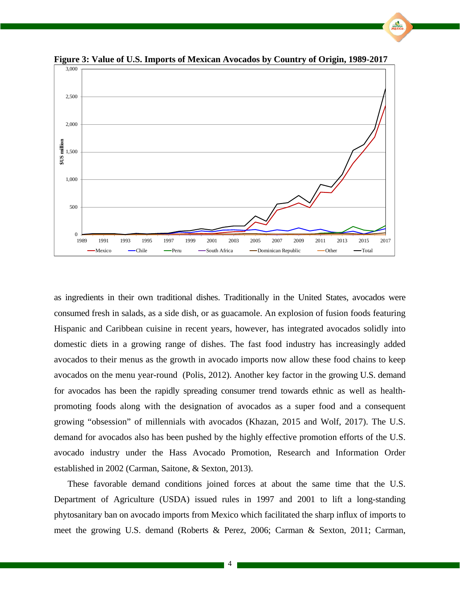

 **Figure 3: Value of U.S. Imports of Mexican Avocados by Country of Origin, 1989-2017** 

 consumed fresh in salads, as a side dish, or as guacamole. An explosion of fusion foods featuring Hispanic and Caribbean cuisine in recent years, however, has integrated avocados solidly into avocados on the menu year-round (Polis, 2012). Another key factor in the growing U.S. demand promoting foods along with the designation of avocados as a super food and a consequent demand for avocados also has been pushed by the highly effective promotion efforts of the U.S. established in 2002 (Carman, Saitone, & Sexton, 2013). as ingredients in their own traditional dishes. Traditionally in the United States, avocados were domestic diets in a growing range of dishes. The fast food industry has increasingly added avocados to their menus as the growth in avocado imports now allow these food chains to keep for avocados has been the rapidly spreading consumer trend towards ethnic as well as healthgrowing "obsession" of millennials with avocados (Khazan, 2015 and Wolf, 2017). The U.S. avocado industry under the Hass Avocado Promotion, Research and Information Order

 meet the growing U.S. demand (Roberts & Perez, 2006; Carman & Sexton, 2011; Carman, These favorable demand conditions joined forces at about the same time that the U.S. Department of Agriculture (USDA) issued rules in 1997 and 2001 to lift a long-standing phytosanitary ban on avocado imports from Mexico which facilitated the sharp influx of imports to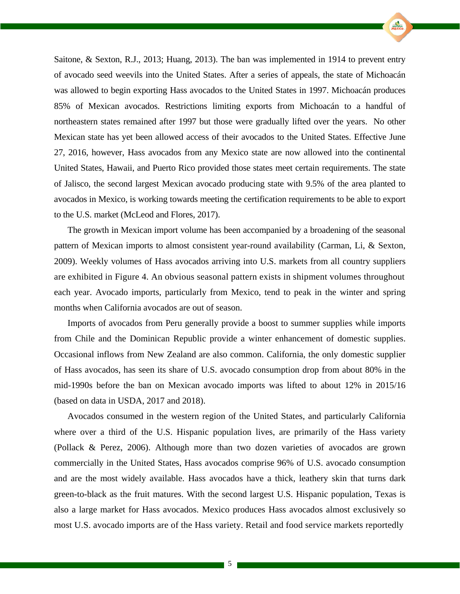Saitone, & Sexton, R.J., 2013; Huang, 2013). The ban was implemented in 1914 to prevent entry was allowed to begin exporting Hass avocados to the United States in 1997. Michoacán produces avocados in Mexico, is working towards meeting the certification requirements to be able to export of avocado seed weevils into the United States. After a series of appeals, the state of Michoacán 85% of Mexican avocados. Restrictions limiting exports from Michoacán to a handful of northeastern states remained after 1997 but those were gradually lifted over the years. No other Mexican state has yet been allowed access of their avocados to the United States. Effective June 27, 2016, however, Hass avocados from any Mexico state are now allowed into the continental United States, Hawaii, and Puerto Rico provided those states meet certain requirements. The state of Jalisco, the second largest Mexican avocado producing state with 9.5% of the area planted to to the U.S. market (McLeod and Flores, 2017).

 The growth in Mexican import volume has been accompanied by a broadening of the seasonal are exhibited in Figure 4. An obvious seasonal pattern exists in shipment volumes throughout pattern of Mexican imports to almost consistent year-round availability (Carman, Li, & Sexton, 2009). Weekly volumes of Hass avocados arriving into U.S. markets from all country suppliers each year. Avocado imports, particularly from Mexico, tend to peak in the winter and spring months when California avocados are out of season.

 Occasional inflows from New Zealand are also common. California, the only domestic supplier of Hass avocados, has seen its share of U.S. avocado consumption drop from about 80% in the (based on data in USDA, 2017 and 2018). Imports of avocados from Peru generally provide a boost to summer supplies while imports from Chile and the Dominican Republic provide a winter enhancement of domestic supplies. mid-1990s before the ban on Mexican avocado imports was lifted to about 12% in 2015/16

 and are the most widely available. Hass avocados have a thick, leathery skin that turns dark most U.S. avocado imports are of the Hass variety. Retail and food service markets reportedly Avocados consumed in the western region of the United States, and particularly California where over a third of the U.S. Hispanic population lives, are primarily of the Hass variety (Pollack & Perez, 2006). Although more than two dozen varieties of avocados are grown commercially in the United States, Hass avocados comprise 96% of U.S. avocado consumption green-to-black as the fruit matures. With the second largest U.S. Hispanic population, Texas is also a large market for Hass avocados. Mexico produces Hass avocados almost exclusively so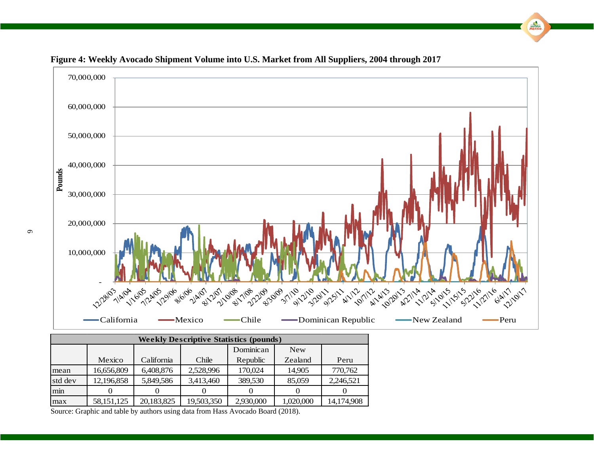

|  | Figure 4: Weekly Avocado Shipment Volume into U.S. Market from All Suppliers, 2004 through 2017 |  |
|--|-------------------------------------------------------------------------------------------------|--|
|  |                                                                                                 |  |

| <b>Weekly Descriptive Statistics (pounds)</b> |                         |            |            |           |           |            |  |  |
|-----------------------------------------------|-------------------------|------------|------------|-----------|-----------|------------|--|--|
|                                               | Dominican<br><b>New</b> |            |            |           |           |            |  |  |
|                                               | Mexico                  | California | Chile      | Republic  | Zealand   | Peru       |  |  |
| mean                                          | 16,656,809              | 6,408,876  | 2,528,996  | 170,024   | 14,905    | 770,762    |  |  |
| std dev                                       | 12,196,858              | 5,849,586  | 3,413,460  | 389,530   | 85,059    | 2,246,521  |  |  |
| min                                           |                         |            |            |           |           |            |  |  |
| max                                           | 58, 151, 125            | 20,183,825 | 19,503,350 | 2,930,000 | 1,020,000 | 14,174,908 |  |  |

Source: Graphic and table by authors using data from Hass Avocado Board (2018).

 $\sigma$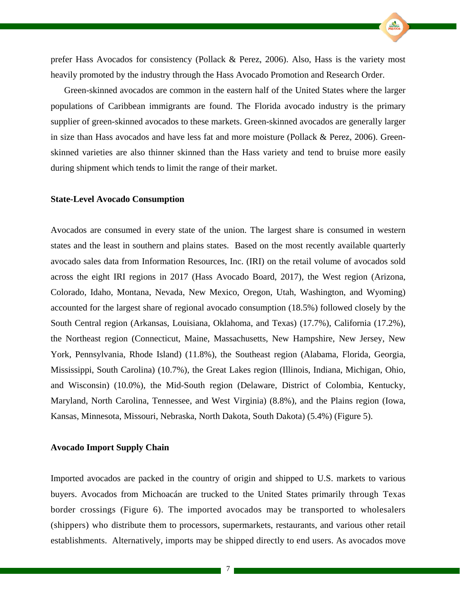prefer Hass Avocados for consistency (Pollack & Perez, 2006). Also, Hass is the variety most heavily promoted by the industry through the Hass Avocado Promotion and Research Order.

 skinned varieties are also thinner skinned than the Hass variety and tend to bruise more easily during shipment which tends to limit the range of their market. Green-skinned avocados are common in the eastern half of the United States where the larger populations of Caribbean immigrants are found. The Florida avocado industry is the primary supplier of green-skinned avocados to these markets. Green-skinned avocados are generally larger in size than Hass avocados and have less fat and more moisture (Pollack & Perez, 2006). Green-

#### **State-Level Avocado Consumption**

 states and the least in southern and plains states. Based on the most recently available quarterly across the eight IRI regions in 2017 (Hass Avocado Board, 2017), the West region (Arizona, accounted for the largest share of regional avocado consumption (18.5%) followed closely by the Kansas, Minnesota, Missouri, Nebraska, North Dakota, South Dakota) (5.4%) (Figure 5). Avocados are consumed in every state of the union. The largest share is consumed in western avocado sales data from Information Resources, Inc. (IRI) on the retail volume of avocados sold Colorado, Idaho, Montana, Nevada, New Mexico, Oregon, Utah, Washington, and Wyoming) South Central region (Arkansas, Louisiana, Oklahoma, and Texas) (17.7%), California (17.2%), the Northeast region (Connecticut, Maine, Massachusetts, New Hampshire, New Jersey, New York, Pennsylvania, Rhode Island) (11.8%), the Southeast region (Alabama, Florida, Georgia, Mississippi, South Carolina) (10.7%), the Great Lakes region (Illinois, Indiana, Michigan, Ohio, and Wisconsin) (10.0%), the Mid-South region (Delaware, District of Colombia, Kentucky, Maryland, North Carolina, Tennessee, and West Virginia) (8.8%), and the Plains region (Iowa,

#### **Avocado Import Supply Chain**

 border crossings (Figure 6). The imported avocados may be transported to wholesalers (shippers) who distribute them to processors, supermarkets, restaurants, and various other retail Imported avocados are packed in the country of origin and shipped to U.S. markets to various buyers. Avocados from Michoacán are trucked to the United States primarily through Texas establishments. Alternatively, imports may be shipped directly to end users. As avocados move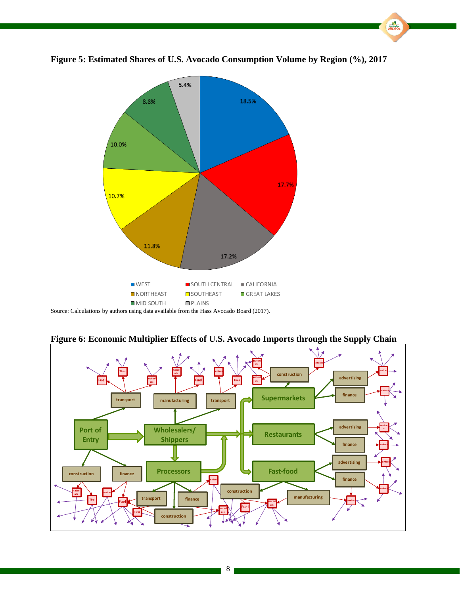

 **Figure 5: Estimated Shares of U.S. Avocado Consumption Volume by Region (%), 2017** 

Mexico

Source: Calculations by authors using data available from the Hass Avocado Board (2017).



**Figure 6: Economic Multiplier Effects of U.S. Avocado Imports through the Supply Chain**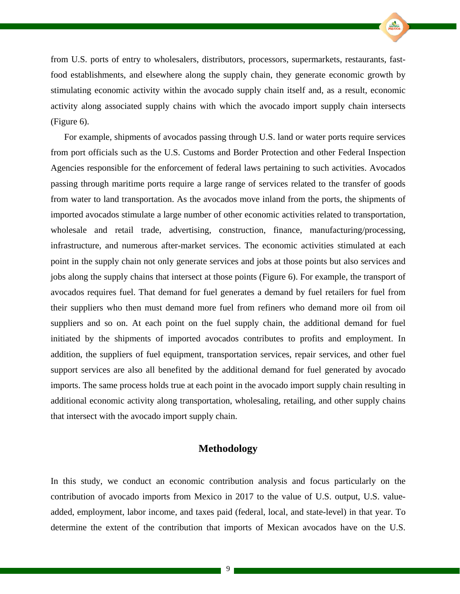from U.S. ports of entry to wholesalers, distributors, processors, supermarkets, restaurants, fastfood establishments, and elsewhere along the supply chain, they generate economic growth by stimulating economic activity within the avocado supply chain itself and, as a result, economic activity along associated supply chains with which the avocado import supply chain intersects (Figure 6).

For example, shipments of avocados passing through U.S. land or water ports require services from port officials such as the U.S. Customs and Border Protection and other Federal Inspection Agencies responsible for the enforcement of federal laws pertaining to such activities. Avocados passing through maritime ports require a large range of services related to the transfer of goods from water to land transportation. As the avocados move inland from the ports, the shipments of imported avocados stimulate a large number of other economic activities related to transportation, wholesale and retail trade, advertising, construction, finance, manufacturing/processing, infrastructure, and numerous after-market services. The economic activities stimulated at each point in the supply chain not only generate services and jobs at those points but also services and jobs along the supply chains that intersect at those points (Figure 6). For example, the transport of avocados requires fuel. That demand for fuel generates a demand by fuel retailers for fuel from their suppliers who then must demand more fuel from refiners who demand more oil from oil suppliers and so on. At each point on the fuel supply chain, the additional demand for fuel initiated by the shipments of imported avocados contributes to profits and employment. In addition, the suppliers of fuel equipment, transportation services, repair services, and other fuel support services are also all benefited by the additional demand for fuel generated by avocado imports. The same process holds true at each point in the avocado import supply chain resulting in additional economic activity along transportation, wholesaling, retailing, and other supply chains that intersect with the avocado import supply chain.

### **Methodology**

In this study, we conduct an economic contribution analysis and focus particularly on the contribution of avocado imports from Mexico in 2017 to the value of U.S. output, U.S. valueadded, employment, labor income, and taxes paid (federal, local, and state-level) in that year. To determine the extent of the contribution that imports of Mexican avocados have on the U.S.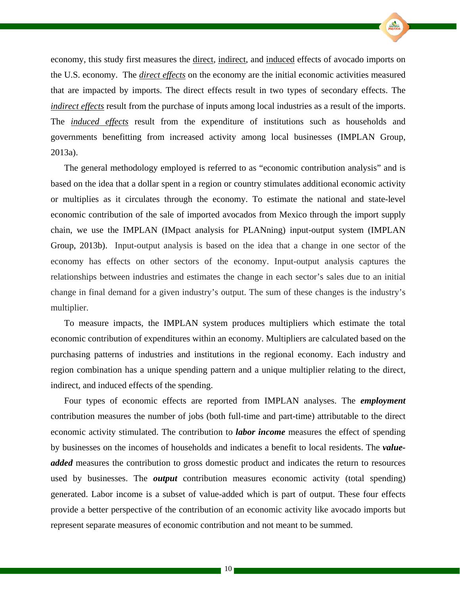governments benefitting from increased activity among local businesses (IMPLAN Group, economy, this study first measures the direct, indirect, and induced effects of avocado imports on the U.S. economy. The *direct effects* on the economy are the initial economic activities measured that are impacted by imports. The direct effects result in two types of secondary effects. The *indirect effects* result from the purchase of inputs among local industries as a result of the imports. The *induced effects* result from the expenditure of institutions such as households and 2013a).

 based on the idea that a dollar spent in a region or country stimulates additional economic activity economic contribution of the sale of imported avocados from Mexico through the import supply The general methodology employed is referred to as "economic contribution analysis" and is or multiplies as it circulates through the economy. To estimate the national and state-level chain, we use the IMPLAN (IMpact analysis for PLANning) input-output system (IMPLAN Group, 2013b). Input-output analysis is based on the idea that a change in one sector of the economy has effects on other sectors of the economy. Input-output analysis captures the relationships between industries and estimates the change in each sector's sales due to an initial change in final demand for a given industry's output. The sum of these changes is the industry's multiplier.

 economic contribution of expenditures within an economy. Multipliers are calculated based on the To measure impacts, the IMPLAN system produces multipliers which estimate the total purchasing patterns of industries and institutions in the regional economy. Each industry and region combination has a unique spending pattern and a unique multiplier relating to the direct, indirect, and induced effects of the spending.

 economic activity stimulated. The contribution to *labor income* measures the effect of spending used by businesses. The *output* contribution measures economic activity (total spending) Four types of economic effects are reported from IMPLAN analyses. The *employment*  contribution measures the number of jobs (both full-time and part-time) attributable to the direct by businesses on the incomes of households and indicates a benefit to local residents. The *valueadded* measures the contribution to gross domestic product and indicates the return to resources generated. Labor income is a subset of value-added which is part of output. These four effects provide a better perspective of the contribution of an economic activity like avocado imports but represent separate measures of economic contribution and not meant to be summed.

10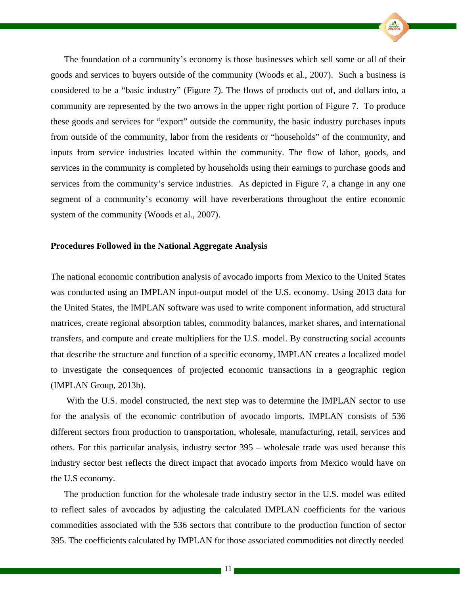The foundation of a community's economy is those businesses which sell some or all of their community are represented by the two arrows in the upper right portion of Figure 7. To produce services from the community's service industries. As depicted in Figure 7, a change in any one goods and services to buyers outside of the community (Woods et al., 2007). Such a business is considered to be a "basic industry" (Figure 7). The flows of products out of, and dollars into, a these goods and services for "export" outside the community, the basic industry purchases inputs from outside of the community, labor from the residents or "households" of the community, and inputs from service industries located within the community. The flow of labor, goods, and services in the community is completed by households using their earnings to purchase goods and segment of a community's economy will have reverberations throughout the entire economic system of the community (Woods et al., 2007).

### **Procedures Followed in the National Aggregate Analysis**

 transfers, and compute and create multipliers for the U.S. model. By constructing social accounts The national economic contribution analysis of avocado imports from Mexico to the United States was conducted using an IMPLAN input-output model of the U.S. economy. Using 2013 data for the United States, the IMPLAN software was used to write component information, add structural matrices, create regional absorption tables, commodity balances, market shares, and international that describe the structure and function of a specific economy, IMPLAN creates a localized model to investigate the consequences of projected economic transactions in a geographic region (IMPLAN Group, 2013b).

With the U.S. model constructed, the next step was to determine the IMPLAN sector to use for the analysis of the economic contribution of avocado imports. IMPLAN consists of 536 different sectors from production to transportation, wholesale, manufacturing, retail, services and others. For this particular analysis, industry sector 395 – wholesale trade was used because this industry sector best reflects the direct impact that avocado imports from Mexico would have on the U.S economy.

The production function for the wholesale trade industry sector in the U.S. model was edited to reflect sales of avocados by adjusting the calculated IMPLAN coefficients for the various commodities associated with the 536 sectors that contribute to the production function of sector 395. The coefficients calculated by IMPLAN for those associated commodities not directly needed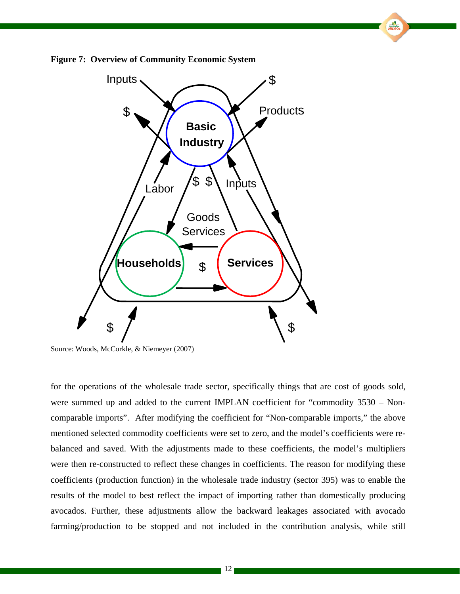



Source: Woods, McCorkle, & Niemeyer (2007)

 coefficients (production function) in the wholesale trade industry (sector 395) was to enable the results of the model to best reflect the impact of importing rather than domestically producing for the operations of the wholesale trade sector, specifically things that are cost of goods sold, were summed up and added to the current IMPLAN coefficient for "commodity 3530 – Noncomparable imports". After modifying the coefficient for "Non-comparable imports," the above mentioned selected commodity coefficients were set to zero, and the model's coefficients were rebalanced and saved. With the adjustments made to these coefficients, the model's multipliers were then re-constructed to reflect these changes in coefficients. The reason for modifying these avocados. Further, these adjustments allow the backward leakages associated with avocado farming/production to be stopped and not included in the contribution analysis, while still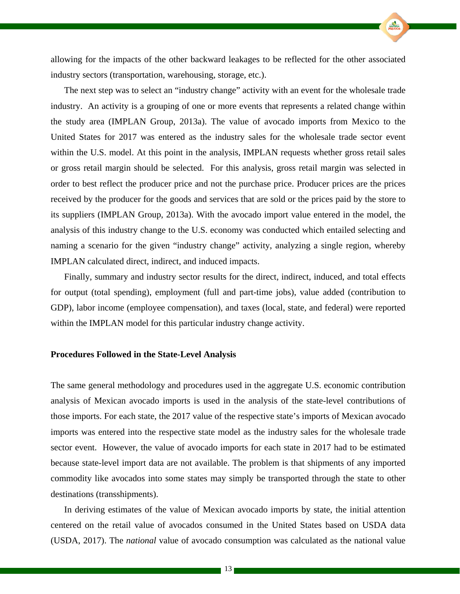allowing for the impacts of the other backward leakages to be reflected for the other associated industry sectors (transportation, warehousing, storage, etc.).

 United States for 2017 was entered as the industry sales for the wholesale trade sector event received by the producer for the goods and services that are sold or the prices paid by the store to The next step was to select an "industry change" activity with an event for the wholesale trade industry. An activity is a grouping of one or more events that represents a related change within the study area (IMPLAN Group, 2013a). The value of avocado imports from Mexico to the within the U.S. model. At this point in the analysis, IMPLAN requests whether gross retail sales or gross retail margin should be selected. For this analysis, gross retail margin was selected in order to best reflect the producer price and not the purchase price. Producer prices are the prices its suppliers (IMPLAN Group, 2013a). With the avocado import value entered in the model, the analysis of this industry change to the U.S. economy was conducted which entailed selecting and naming a scenario for the given "industry change" activity, analyzing a single region, whereby IMPLAN calculated direct, indirect, and induced impacts.

Finally, summary and industry sector results for the direct, indirect, induced, and total effects for output (total spending), employment (full and part-time jobs), value added (contribution to GDP), labor income (employee compensation), and taxes (local, state, and federal) were reported within the IMPLAN model for this particular industry change activity.

### **Procedures Followed in the State-Level Analysis**

 imports was entered into the respective state model as the industry sales for the wholesale trade The same general methodology and procedures used in the aggregate U.S. economic contribution analysis of Mexican avocado imports is used in the analysis of the state-level contributions of those imports. For each state, the 2017 value of the respective state's imports of Mexican avocado sector event. However, the value of avocado imports for each state in 2017 had to be estimated because state-level import data are not available. The problem is that shipments of any imported commodity like avocados into some states may simply be transported through the state to other destinations (transshipments).

 centered on the retail value of avocados consumed in the United States based on USDA data (USDA, 2017). The *national* value of avocado consumption was calculated as the national value In deriving estimates of the value of Mexican avocado imports by state, the initial attention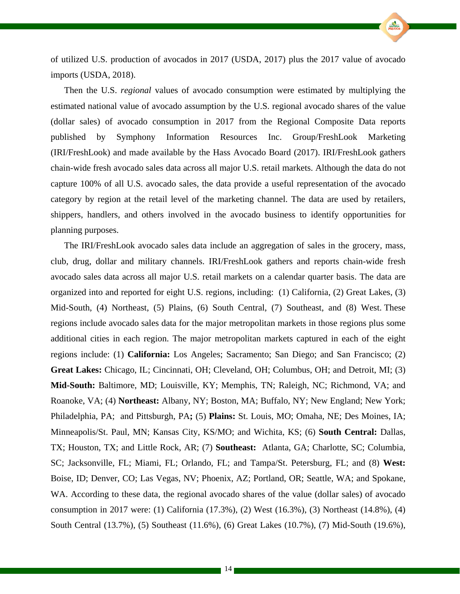of utilized U.S. production of avocados in 2017 (USDA, 2017) plus the 2017 value of avocado imports (USDA, 2018).

 estimated national value of avocado assumption by the U.S. regional avocado shares of the value (IRI/FreshLook) and made available by the Hass Avocado Board (2017). IRI/FreshLook gathers capture 100% of all U.S. avocado sales, the data provide a useful representation of the avocado Then the U.S. *regional* values of avocado consumption were estimated by multiplying the (dollar sales) of avocado consumption in 2017 from the Regional Composite Data reports published by Symphony Information Resources Inc. Group/FreshLook Marketing chain-wide fresh avocado sales data across all major U.S. retail markets. Although the data do not category by region at the retail level of the marketing channel. The data are used by retailers, shippers, handlers, and others involved in the avocado business to identify opportunities for planning purposes.

 club, drug, dollar and military channels. IRI/FreshLook gathers and reports chain-wide fresh avocado sales data across all major U.S. retail markets on a calendar quarter basis. The data are regions include avocado sales data for the major metropolitan markets in those regions plus some additional cities in each region. The major metropolitan markets captured in each of the eight regions include: (1) **California:** Los Angeles; Sacramento; San Diego; and San Francisco; (2) Roanoke, VA; (4) **Northeast:** Albany, NY; Boston, MA; Buffalo, NY; New England; New York; TX; Houston, TX; and Little Rock, AR; (7) **Southeast:** Atlanta, GA; Charlotte, SC; Columbia, SC; Jacksonville, FL; Miami, FL; Orlando, FL; and Tampa/St. Petersburg, FL; and (8) **West:**  The IRI/FreshLook avocado sales data include an aggregation of sales in the grocery, mass, organized into and reported for eight U.S. regions, including: (1) California, (2) Great Lakes, (3) Mid-South, (4) Northeast, (5) Plains, (6) South Central, (7) Southeast, and (8) West. These **Great Lakes:** Chicago, IL; Cincinnati, OH; Cleveland, OH; Columbus, OH; and Detroit, MI; (3) **Mid-South:** Baltimore, MD; Louisville, KY; Memphis, TN; Raleigh, NC; Richmond, VA; and Philadelphia, PA; and Pittsburgh, PA**;** (5) **Plains:** St. Louis, MO; Omaha, NE; Des Moines, IA; Minneapolis/St. Paul, MN; Kansas City, KS/MO; and Wichita, KS; (6) **South Central:** Dallas, Boise, ID; Denver, CO; Las Vegas, NV; Phoenix, AZ; Portland, OR; Seattle, WA; and Spokane, WA. According to these data, the regional avocado shares of the value (dollar sales) of avocado consumption in 2017 were: (1) California (17.3%), (2) West (16.3%), (3) Northeast (14.8%), (4) South Central (13.7%), (5) Southeast (11.6%), (6) Great Lakes (10.7%), (7) Mid-South (19.6%),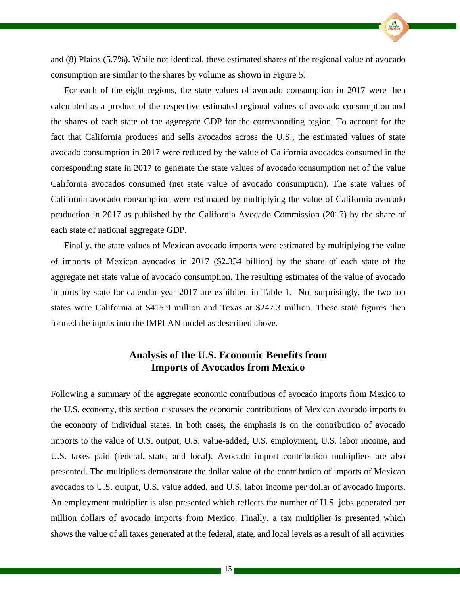consumption are similar to the shares by volume as shown in Figure 5. and (8) Plains (5.7%). While not identical, these estimated shares of the regional value of avocado

 production in 2017 as published by the California Avocado Commission (2017) by the share of For each of the eight regions, the state values of avocado consumption in 2017 were then calculated as a product of the respective estimated regional values of avocado consumption and the shares of each state of the aggregate GDP for the corresponding region. To account for the fact that California produces and sells avocados across the U.S., the estimated values of state avocado consumption in 2017 were reduced by the value of California avocados consumed in the corresponding state in 2017 to generate the state values of avocado consumption net of the value California avocados consumed (net state value of avocado consumption). The state values of California avocado consumption were estimated by multiplying the value of California avocado each state of national aggregate GDP.

 Finally, the state values of Mexican avocado imports were estimated by multiplying the value of imports of Mexican avocados in 2017 (\$2.334 billion) by the share of each state of the states were California at \$415.9 million and Texas at \$247.3 million. These state figures then aggregate net state value of avocado consumption. The resulting estimates of the value of avocado imports by state for calendar year 2017 are exhibited in Table 1. Not surprisingly, the two top formed the inputs into the IMPLAN model as described above.

### **Analysis of the U.S. Economic Benefits from Imports of Avocados from Mexico**

 Following a summary of the aggregate economic contributions of avocado imports from Mexico to the economy of individual states. In both cases, the emphasis is on the contribution of avocado imports to the value of U.S. output, U.S. value-added, U.S. employment, U.S. labor income, and the U.S. economy, this section discusses the economic contributions of Mexican avocado imports to U.S. taxes paid (federal, state, and local). Avocado import contribution multipliers are also presented. The multipliers demonstrate the dollar value of the contribution of imports of Mexican avocados to U.S. output, U.S. value added, and U.S. labor income per dollar of avocado imports. An employment multiplier is also presented which reflects the number of U.S. jobs generated per million dollars of avocado imports from Mexico. Finally, a tax multiplier is presented which shows the value of all taxes generated at the federal, state, and local levels as a result of all activities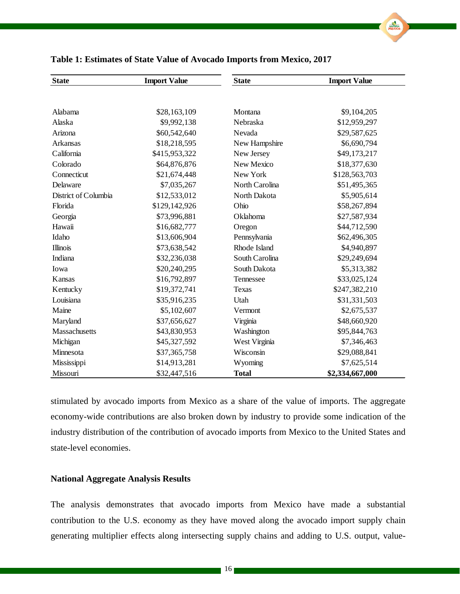| <b>State</b>         | <b>Import Value</b> | <b>State</b>   | <b>Import Value</b> |  |
|----------------------|---------------------|----------------|---------------------|--|
|                      |                     |                |                     |  |
| Alabama              | \$28,163,109        | Montana        | \$9,104,205         |  |
| Alaska               | \$9,992,138         | Nebraska       | \$12,959,297        |  |
| Arizona              | \$60,542,640        | Nevada         | \$29,587,625        |  |
| Arkansas             | \$18,218,595        | New Hampshire  | \$6,690,794         |  |
| California           | \$415,953,322       | New Jersey     | \$49,173,217        |  |
| Colorado             | \$64,876,876        | New Mexico     | \$18,377,630        |  |
| Connecticut          | \$21,674,448        | New York       | \$128,563,703       |  |
| Delaware             | \$7,035,267         | North Carolina | \$51,495,365        |  |
| District of Columbia | \$12,533,012        | North Dakota   | \$5,905,614         |  |
| Florida              | \$129,142,926       | Ohio           | \$58,267,894        |  |
| Georgia              | \$73,996,881        | Oklahoma       | \$27,587,934        |  |
| Hawaii               | \$16,682,777        | Oregon         | \$44,712,590        |  |
| Idaho                | \$13,606,904        | Pennsylvania   | \$62,496,305        |  |
| Illinois             | \$73,638,542        | Rhode Island   | \$4,940,897         |  |
| Indiana              | \$32,236,038        | South Carolina | \$29,249,694        |  |
| Iowa                 | \$20,240,295        | South Dakota   | \$5,313,382         |  |
| Kansas               | \$16,792,897        | Tennessee      | \$33,025,124        |  |
| Kentucky             | \$19,372,741        | <b>Texas</b>   | \$247,382,210       |  |
| Louisiana            | \$35,916,235        | Utah           | \$31,331,503        |  |
| Maine                | \$5,102,607         | Vermont        | \$2,675,537         |  |
| Maryland             | \$37,656,627        | Virginia       | \$48,660,920        |  |
| Massachusetts        | \$43,830,953        | Washington     | \$95,844,763        |  |
| Michigan             | \$45,327,592        | West Virginia  | \$7,346,463         |  |
| Minnesota            | \$37,365,758        | Wisconsin      | \$29,088,841        |  |
| Mississippi          | \$14,913,281        | Wyoming        | \$7,625,514         |  |
| Missouri             | \$32,447,516        | <b>Total</b>   | \$2,334,667,000     |  |

#### **Table 1: Estimates of State Value of Avocado Imports from Mexico, 2017**

stimulated by avocado imports from Mexico as a share of the value of imports. The aggregate economy-wide contributions are also broken down by industry to provide some indication of the industry distribution of the contribution of avocado imports from Mexico to the United States and state-level economies.

### **National Aggregate Analysis Results**

 contribution to the U.S. economy as they have moved along the avocado import supply chain The analysis demonstrates that avocado imports from Mexico have made a substantial generating multiplier effects along intersecting supply chains and adding to U.S. output, value-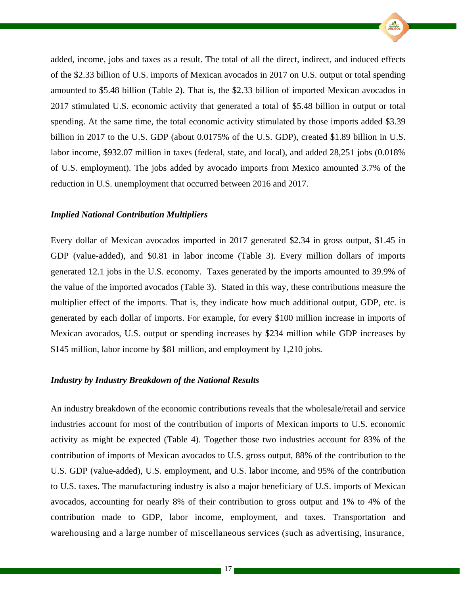labor income, \$932.07 million in taxes (federal, state, and local), and added 28,251 jobs (0.018% added, income, jobs and taxes as a result. The total of all the direct, indirect, and induced effects of the \$2.33 billion of U.S. imports of Mexican avocados in 2017 on U.S. output or total spending amounted to \$5.48 billion (Table 2). That is, the \$2.33 billion of imported Mexican avocados in 2017 stimulated U.S. economic activity that generated a total of \$5.48 billion in output or total spending. At the same time, the total economic activity stimulated by those imports added \$3.39 billion in 2017 to the U.S. GDP (about 0.0175% of the U.S. GDP), created \$1.89 billion in U.S. of U.S. employment). The jobs added by avocado imports from Mexico amounted 3.7% of the reduction in U.S. unemployment that occurred between 2016 and 2017.

### *Implied National Contribution Multipliers*

 generated 12.1 jobs in the U.S. economy. Taxes generated by the imports amounted to 39.9% of the value of the imported avocados (Table 3). Stated in this way, these contributions measure the Mexican avocados, U.S. output or spending increases by \$234 million while GDP increases by Every dollar of Mexican avocados imported in 2017 generated \$2.34 in gross output, \$1.45 in GDP (value-added), and \$0.81 in labor income (Table 3). Every million dollars of imports multiplier effect of the imports. That is, they indicate how much additional output, GDP, etc. is generated by each dollar of imports. For example, for every \$100 million increase in imports of \$145 million, labor income by \$81 million, and employment by 1,210 jobs.

#### *Industry by Industry Breakdown of the National Results*

 An industry breakdown of the economic contributions reveals that the wholesale/retail and service U.S. GDP (value-added), U.S. employment, and U.S. labor income, and 95% of the contribution industries account for most of the contribution of imports of Mexican imports to U.S. economic activity as might be expected (Table 4). Together those two industries account for 83% of the contribution of imports of Mexican avocados to U.S. gross output, 88% of the contribution to the to U.S. taxes. The manufacturing industry is also a major beneficiary of U.S. imports of Mexican avocados, accounting for nearly 8% of their contribution to gross output and 1% to 4% of the contribution made to GDP, labor income, employment, and taxes. Transportation and warehousing and a large number of miscellaneous services (such as advertising, insurance,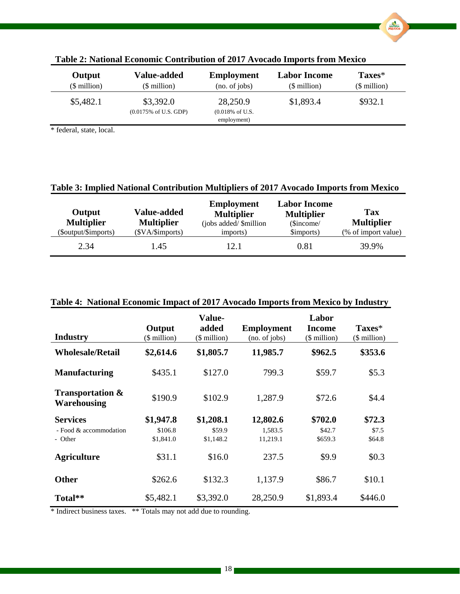| Output       | Value-added                                   | <b>Employment</b>                                      | <b>Labor Income</b> | Taxes*       |
|--------------|-----------------------------------------------|--------------------------------------------------------|---------------------|--------------|
| $$$ million) | (\$ million)                                  | (no. of jobs)                                          | $$$ million)        | (\$ million) |
| \$5,482.1    | \$3,392.0<br>$(0.0175\% \text{ of U.S. GDP})$ | 28,250.9<br>$(0.018\% \text{ of U.S.})$<br>employment) | \$1,893.4           | \$932.1      |

**Avecados** 

| Table 2: National Economic Contribution of 2017 Avocado Imports from Mexico |  |  |  |
|-----------------------------------------------------------------------------|--|--|--|
|-----------------------------------------------------------------------------|--|--|--|

\* federal, state, local.

|  |  |  |  |  |  | Table 3: Implied National Contribution Multipliers of 2017 Avocado Imports from Mexico |
|--|--|--|--|--|--|----------------------------------------------------------------------------------------|
|--|--|--|--|--|--|----------------------------------------------------------------------------------------|

| Output<br><b>Multiplier</b><br>(\$output/\$imports) | <b>Value-added</b><br><b>Multiplier</b><br>(SVA/Simports) | <b>Employment</b><br><b>Multiplier</b><br>(jobs added/\$million<br>imports) | <b>Labor Income</b><br><b>Multiplier</b><br>\$income/<br>Simports) | <b>Tax</b><br><b>Multiplier</b><br>(% of import value) |
|-----------------------------------------------------|-----------------------------------------------------------|-----------------------------------------------------------------------------|--------------------------------------------------------------------|--------------------------------------------------------|
| 2.34                                                | 1.45                                                      | 12.1                                                                        | 0.81                                                               | 39.9%                                                  |

| <b>Industry</b>                            | Output<br>(\$ million) | Value-<br>added<br>(\$ million) | <b>Employment</b><br>(no. of jobs) | Labor<br><b>Income</b><br>(\$ million) | Taxes*<br>(\$ million) |
|--------------------------------------------|------------------------|---------------------------------|------------------------------------|----------------------------------------|------------------------|
| <b>Wholesale/Retail</b>                    | \$2,614.6              | \$1,805.7                       | 11,985.7                           | \$962.5                                | \$353.6                |
| <b>Manufacturing</b>                       | \$435.1                | \$127.0                         | 799.3                              | \$59.7                                 | \$5.3                  |
| <b>Transportation &amp;</b><br>Warehousing | \$190.9                | \$102.9                         | 1,287.9                            | \$72.6                                 | \$4.4                  |
| <b>Services</b>                            | \$1,947.8              | \$1,208.1                       | 12,802.6                           | \$702.0                                | \$72.3                 |
| - Food & accommodation                     | \$106.8                | \$59.9                          | 1,583.5                            | \$42.7                                 | \$7.5                  |
| - Other                                    | \$1,841.0              | \$1,148.2                       | 11,219.1                           | \$659.3                                | \$64.8                 |
| <b>Agriculture</b>                         | \$31.1                 | \$16.0                          | 237.5                              | \$9.9                                  | \$0.3\$                |
| <b>Other</b>                               | \$262.6                | \$132.3                         | 1,137.9                            | \$86.7                                 | \$10.1                 |
| Total**                                    | \$5,482.1              | \$3,392.0                       | 28,250.9                           | \$1,893.4                              | \$446.0                |

## **Table 4: National Economic Impact of 2017 Avocado Imports from Mexico by Industry**

\* Indirect business taxes. \*\* Totals may not add due to rounding.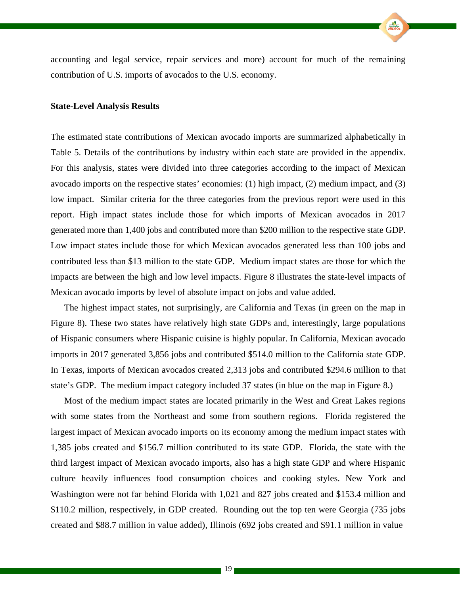accounting and legal service, repair services and more) account for much of the remaining contribution of U.S. imports of avocados to the U.S. economy.

#### **State-Level Analysis Results**

 For this analysis, states were divided into three categories according to the impact of Mexican low impact. Similar criteria for the three categories from the previous report were used in this generated more than 1,400 jobs and contributed more than \$200 million to the respective state GDP. contributed less than \$13 million to the state GDP. Medium impact states are those for which the Mexican avocado imports by level of absolute impact on jobs and value added. The estimated state contributions of Mexican avocado imports are summarized alphabetically in Table 5. Details of the contributions by industry within each state are provided in the appendix. avocado imports on the respective states' economies: (1) high impact, (2) medium impact, and (3) report. High impact states include those for which imports of Mexican avocados in 2017 Low impact states include those for which Mexican avocados generated less than 100 jobs and impacts are between the high and low level impacts. Figure 8 illustrates the state-level impacts of

 of Hispanic consumers where Hispanic cuisine is highly popular. In California, Mexican avocado state's GDP. The medium impact category included 37 states (in blue on the map in Figure 8.) The highest impact states, not surprisingly, are California and Texas (in green on the map in Figure 8). These two states have relatively high state GDPs and, interestingly, large populations imports in 2017 generated 3,856 jobs and contributed \$514.0 million to the California state GDP. In Texas, imports of Mexican avocados created 2,313 jobs and contributed \$294.6 million to that

Most of the medium impact states are located primarily in the West and Great Lakes regions with some states from the Northeast and some from southern regions. Florida registered the largest impact of Mexican avocado imports on its economy among the medium impact states with 1,385 jobs created and \$156.7 million contributed to its state GDP. Florida, the state with the third largest impact of Mexican avocado imports, also has a high state GDP and where Hispanic culture heavily influences food consumption choices and cooking styles. New York and Washington were not far behind Florida with 1,021 and 827 jobs created and \$153.4 million and \$110.2 million, respectively, in GDP created. Rounding out the top ten were Georgia (735 jobs created and \$88.7 million in value added), Illinois (692 jobs created and \$91.1 million in value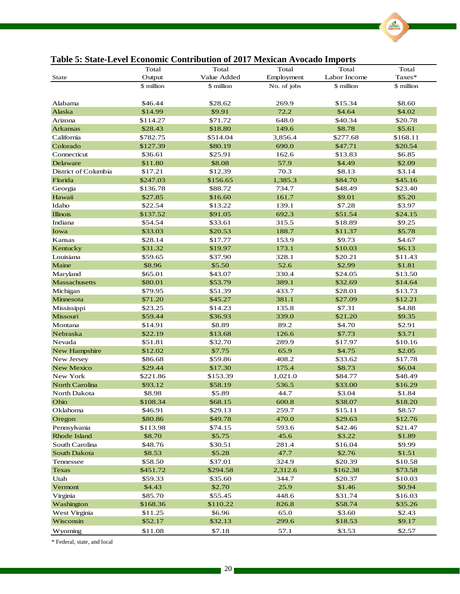|                           | Total      | Total       | Total       | Total        | Total      |
|---------------------------|------------|-------------|-------------|--------------|------------|
| State                     | Output     | Value Added | Employment  | Labor Income | Taxes*     |
|                           | \$ million | \$ million  | No. of jobs | \$ million   | \$ million |
| Alabama                   | \$46.44    | \$28.62     | 269.9       | \$15.34      | \$8.60     |
| Alaska                    | \$14.99    | \$9.91      | 72.2        | \$4.64       | \$4.02     |
| Arizona                   | \$114.27   | \$71.72     | 648.0       | \$40.34      | \$20.78    |
| <b>Arkansas</b>           | \$28.43    | \$18.80     | 149.6       | \$8.78       | \$5.61     |
| California                | \$782.75   | \$514.04    | 3,856.4     | \$277.68     | \$168.11   |
| Colorado                  | \$127.39   | \$80.19     | 690.0       | \$47.71      | \$20.54    |
| Connecticut               | \$36.61    | \$25.91     | 162.6       | \$13.83      | \$6.85     |
| Delaware                  | \$11.80    | \$8.08      | 57.9        | \$4.49       | \$2.09     |
| District of Columbia      | \$17.21    | \$12.39     | 70.3        | \$8.13       | \$3.14     |
| Florida                   | \$247.03   | \$156.65    | 1,385.3     | \$84.70      | \$45.16    |
| Georgia                   | \$136.78   | \$88.72     | 734.7       | \$48.49      | \$23.40    |
| Hawaii                    | \$27.85    | \$16.60     | 161.7       | \$9.01       | \$5.20     |
| Idaho                     | \$22.54    | \$13.22     | 139.1       | \$7.28       | \$3.97     |
| <b>Illinois</b>           | \$137.52   | \$91.05     | 692.3       | \$51.54      | \$24.15    |
| Indiana                   | \$54.54    | \$33.61     | 315.5       | \$18.89      | \$9.25     |
| Iowa                      | \$33.03    | \$20.53     | 188.7       | \$11.37      | \$5.78     |
| Kansas                    | \$28.14    | \$17.77     | 153.9       | \$9.73       | \$4.67     |
| Kentucky                  | \$31.32    | \$19.97     | 173.1       | \$10.03      | \$6.13     |
| Louisiana                 | \$59.65    | \$37.90     | 328.1       | \$20.21      | \$11.43    |
| Maine                     | \$8.96     | \$5.50      | 52.6        | \$2.99       | \$1.81     |
|                           | \$65.01    | \$43.07     | 330.4       | \$24.05      | \$13.50    |
| Maryland<br>Massachusetts | \$80.01    | \$53.79     | 389.1       | \$32.69      | \$14.64    |
| Michigan                  | \$79.95    | \$51.39     | 433.7       | \$28.01      | \$13.73    |
| Minnesota                 | \$71.20    | \$45.27     | 381.1       | \$27.09      | \$12.21    |
| Mississippi               | \$23.25    | \$14.23     | 135.8       | \$7.31       | \$4.88     |
| Missouri                  | \$59.44    | \$36.93     | 339.0       | \$21.20      | \$9.35     |
| Montana                   | \$14.91    | \$8.89      | 89.2        | \$4.70       | \$2.91     |
| Nebraska                  | \$22.19    | \$13.68     | 126.6       | \$7.73       | \$3.71     |
| Nevada                    | \$51.81    | \$32.70     | 289.9       | \$17.97      | \$10.16    |
| New Hampshire             | \$12.02    | \$7.75      | 65.9        | \$4.75       | \$2.05     |
| New Jersey                | \$86.68    | \$59.86     | 408.2       | \$33.62      | \$17.78    |
| New Mexico                | \$29.44    | \$17.30     | 175.4       | \$8.73       | \$6.04     |
| New York                  | \$221.86   | \$153.39    | 1,021.0     | \$84.77      | \$48.49    |
| North Carolina            | \$93.12    | \$58.19     | 536.5       | \$33.00      | \$16.29    |
| North Dakota              | \$8.98     | \$5.89      | 44.7        | \$3.04       | \$1.84     |
| Ohio                      | \$108.34   | \$68.15     | 600.8       | \$38.07      | \$18.20    |
| Oklahoma                  | \$46.91    | \$29.13     | 259.7       | \$15.11      | \$8.57     |
| Oregon                    | \$80.86    | \$49.78     | 470.0       | \$29.63      | \$12.76    |
| Pennsylvania              | \$113.98   | \$74.15     | 593.6       | \$42.46      | \$21.47    |
| Rhode Island              | \$8.70     | \$5.75      | 45.6        | \$3.22       | \$1.89     |
| South Carolina            | \$48.76    | \$30.51     | 281.4       | \$16.04      | \$9.99     |
| South Dakota              | \$8.53     | \$5.28      | 47.7        | \$2.76       | \$1.51     |
| Tennessee                 | \$58.50    | \$37.01     | 324.9       | \$20.39      | \$10.58    |
| Texas                     | \$451.72   | \$294.58    | 2,312.6     | \$162.38     | \$73.58    |
| Utah                      | \$59.33    | \$35.60     | 344.7       | \$20.37      | \$10.03    |
| Vermont                   | \$4.43     | \$2.70      | 25.9        | \$1.46       | \$0.94     |
| Virginia                  | \$85.70    | \$55.45     | 448.6       | \$31.74      | \$16.03    |
| Washington                | \$168.36   | \$110.22    | 826.8       | \$58.74      | \$35.26    |
| West Virginia             | \$11.25    | \$6.96      | 65.0        | \$3.60       | \$2.43     |
| Wisconsin                 | \$52.17    | \$32.13     | 299.6       | \$18.53      | \$9.17     |
| Wyoming                   | \$11.08    | \$7.18      | 57.1        | \$3.53       | \$2.57     |

### **Table 5: State-Level Economic Contribution of 2017 Mexican Avocado Imports**

Mexico

\* Federal, state, and local

 $\mathcal{L}(\mathcal{L}(\mathcal{L}))$  and the contract of  $\mathcal{L}(\mathcal{L})$  and  $\mathcal{L}(\mathcal{L})$  and  $\mathcal{L}(\mathcal{L})$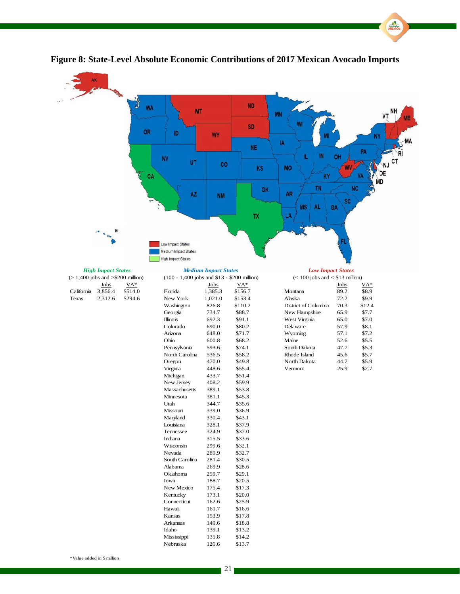

Oregon 470.0 \$49.8 North Dakota 44.7 \$5.9 Virginia 448.6 \$55.4 Vermont 25.9 \$2.7

**Figure 8: State-Level Absolute Economic Contributions of 2017 Mexican Avocado Imports** 

Mexico

Michigan 433.7 \$51.4<br>New Jersey 408.2 \$59.9

Massachusetts 389.1 \$53.8<br>Minnesota 381.1 \$45.3

Utah 344.7 \$35.6<br>Missouri 339.0 \$36.9

Maryland 330.4 \$43.1<br>
Louisiana 328.1 \$37.9

Tennessee 324.9 \$37.0 Indiana 315.5 \$33.6<br>Wisconsin 299.6 \$32.1 Wisconsin 299.6

Nevada 289.9 \$32.7 South Carolina 281.4 \$30.5 Alabama 269.9 \$28.6<br>Oklahoma 259.7 \$29.1

Iowa 188.7 \$20.5 New Mexico 175.4 \$17.3 Kentucky 173.1 \$20.0<br>Connecticut 162.6 \$25.9

Hawaii 161.7 \$16.6 Kansas 153.9 \$17.8 Arkansas 149.6 \$18.8 Idaho 139.1 \$13.2 Mississippi 135.8 \$14.2 Nebraska 126.6 \$13.7

Louisiana 328.1

Connecticut 162.6

New Jersey

Minnesota

Missouri

Oklahoma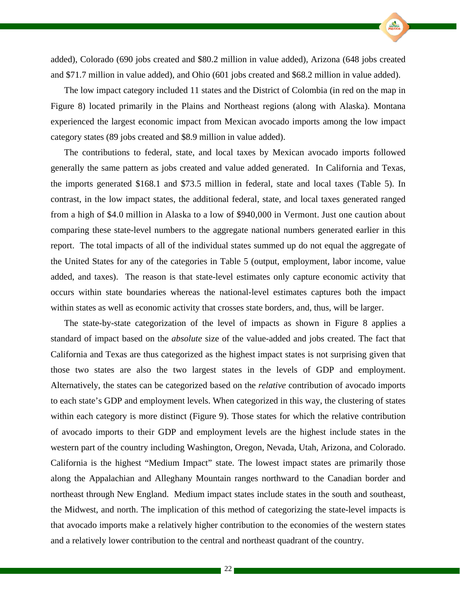added), Colorado (690 jobs created and \$80.2 million in value added), Arizona (648 jobs created and \$71.7 million in value added), and Ohio (601 jobs created and \$68.2 million in value added).

 The low impact category included 11 states and the District of Colombia (in red on the map in experienced the largest economic impact from Mexican avocado imports among the low impact Figure 8) located primarily in the Plains and Northeast regions (along with Alaska). Montana category states (89 jobs created and \$8.9 million in value added).

 contrast, in the low impact states, the additional federal, state, and local taxes generated ranged from a high of \$4.0 million in Alaska to a low of \$940,000 in Vermont. Just one caution about the United States for any of the categories in Table 5 (output, employment, labor income, value within states as well as economic activity that crosses state borders, and, thus, will be larger. The contributions to federal, state, and local taxes by Mexican avocado imports followed generally the same pattern as jobs created and value added generated. In California and Texas, the imports generated \$168.1 and \$73.5 million in federal, state and local taxes (Table 5). In comparing these state-level numbers to the aggregate national numbers generated earlier in this report. The total impacts of all of the individual states summed up do not equal the aggregate of added, and taxes). The reason is that state-level estimates only capture economic activity that occurs within state boundaries whereas the national-level estimates captures both the impact

 The state-by-state categorization of the level of impacts as shown in Figure 8 applies a standard of impact based on the *absolute* size of the value-added and jobs created. The fact that within each category is more distinct (Figure 9). Those states for which the relative contribution of avocado imports to their GDP and employment levels are the highest include states in the that avocado imports make a relatively higher contribution to the economies of the western states and a relatively lower contribution to the central and northeast quadrant of the country.<br>22 California and Texas are thus categorized as the highest impact states is not surprising given that those two states are also the two largest states in the levels of GDP and employment. Alternatively, the states can be categorized based on the *relative* contribution of avocado imports to each state's GDP and employment levels. When categorized in this way, the clustering of states western part of the country including Washington, Oregon, Nevada, Utah, Arizona, and Colorado. California is the highest "Medium Impact" state. The lowest impact states are primarily those along the Appalachian and Alleghany Mountain ranges northward to the Canadian border and northeast through New England. Medium impact states include states in the south and southeast, the Midwest, and north. The implication of this method of categorizing the state-level impacts is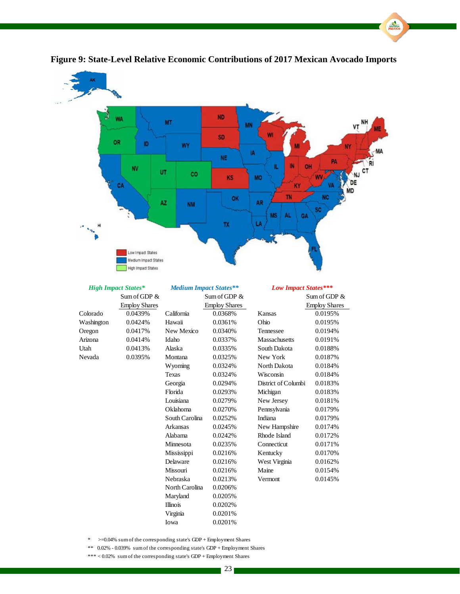

**Figure 9: State-Level Relative Economic Contributions of 2017 Mexican Avocado Imports** 

\* >=0.04% sum of the corresponding state's GDP + Employment Shares

\*\* 0.02% - 0.039% sum of the corresponding state's GDP + Employment Shares

\*\*\* < 0.02% sum of the corresponding state's GDP + Employment Shares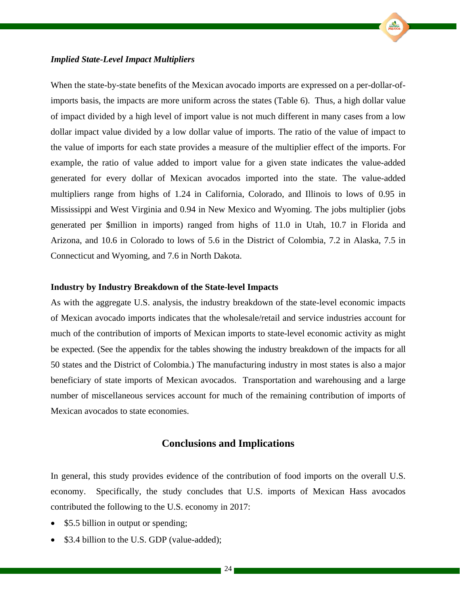### *Implied State-Level Impact Multipliers*

 the value of imports for each state provides a measure of the multiplier effect of the imports. For multipliers range from highs of 1.24 in California, Colorado, and Illinois to lows of 0.95 in When the state-by-state benefits of the Mexican avocado imports are expressed on a per-dollar-ofimports basis, the impacts are more uniform across the states (Table 6). Thus, a high dollar value of impact divided by a high level of import value is not much different in many cases from a low dollar impact value divided by a low dollar value of imports. The ratio of the value of impact to example, the ratio of value added to import value for a given state indicates the value-added generated for every dollar of Mexican avocados imported into the state. The value-added Mississippi and West Virginia and 0.94 in New Mexico and Wyoming. The jobs multiplier (jobs generated per \$million in imports) ranged from highs of 11.0 in Utah, 10.7 in Florida and Arizona, and 10.6 in Colorado to lows of 5.6 in the District of Colombia, 7.2 in Alaska, 7.5 in Connecticut and Wyoming, and 7.6 in North Dakota.

### **Industry by Industry Breakdown of the State-level Impacts**

 be expected. (See the appendix for the tables showing the industry breakdown of the impacts for all 50 states and the District of Colombia.) The manufacturing industry in most states is also a major As with the aggregate U.S. analysis, the industry breakdown of the state-level economic impacts of Mexican avocado imports indicates that the wholesale/retail and service industries account for much of the contribution of imports of Mexican imports to state-level economic activity as might beneficiary of state imports of Mexican avocados. Transportation and warehousing and a large number of miscellaneous services account for much of the remaining contribution of imports of Mexican avocados to state economies.

### **Conclusions and Implications**

In general, this study provides evidence of the contribution of food imports on the overall U.S. economy. Specifically, the study concludes that U.S. imports of Mexican Hass avocados contributed the following to the U.S. economy in 2017:

- \$5.5 billion in output or spending;
- \$3.4 billion to the U.S. GDP (value-added);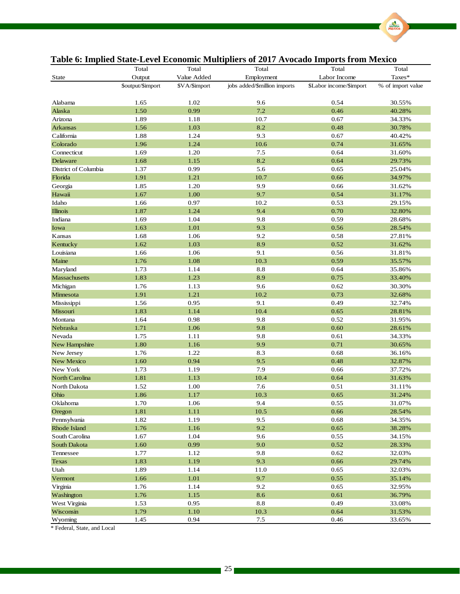|                      | Total             | Total         | Total                        | Total                   | Total             |
|----------------------|-------------------|---------------|------------------------------|-------------------------|-------------------|
| State                | Output            | Value Added   | Employment                   | Labor Income            | Taxes*            |
|                      | \$output/\$import | \$VA/\$import | jobs added/\$million imports | \$Labor income/\$import | % of import value |
|                      |                   |               |                              |                         |                   |
| Alabama              | 1.65              | 1.02          | 9.6                          | 0.54                    | 30.55%            |
| Alaska               | 1.50              | 0.99          | 7.2                          | 0.46                    | 40.28%            |
| Arizona              | 1.89              | 1.18          | 10.7                         | 0.67                    | 34.33%            |
| <b>Arkansas</b>      | 1.56              | 1.03          | 8.2                          | 0.48                    | 30.78%            |
| California           | 1.88              | 1.24          | 9.3                          | 0.67                    | 40.42%            |
| Colorado             | 1.96              | 1.24          | 10.6                         | 0.74                    | 31.65%            |
| Connecticut          | 1.69              | 1.20          | 7.5                          | 0.64                    | 31.60%            |
| Delaware             | 1.68              | 1.15          | 8.2                          | 0.64                    | 29.73%            |
| District of Columbia | 1.37              | 0.99          | 5.6                          | 0.65                    | 25.04%            |
| Florida              | 1.91              | 1.21          | 10.7                         | 0.66                    | 34.97%            |
| Georgia              | 1.85              | 1.20          | 9.9                          | 0.66                    | 31.62%            |
| Hawaii               | 1.67              | 1.00          | 9.7                          | 0.54                    | 31.17%            |
| Idaho                | 1.66              | 0.97          | 10.2                         | 0.53                    | 29.15%            |
| <b>Illinois</b>      | 1.87              | 1.24          | 9.4                          | 0.70                    | 32.80%            |
| Indiana              | 1.69              | 1.04          | 9.8                          | 0.59                    | 28.68%            |
| Iowa                 | 1.63              | 1.01          | 9.3                          | 0.56                    | 28.54%            |
| Kansas               | 1.68              | 1.06          | 9.2                          | 0.58                    | 27.81%            |
| Kentucky             | 1.62              | 1.03          | 8.9                          | 0.52                    | 31.62%            |
| Louisiana            | 1.66              | 1.06          | 9.1                          | 0.56                    | 31.81%            |
| Maine                | 1.76              | 1.08          | 10.3                         | 0.59                    | 35.57%            |
| Maryland             | 1.73              | 1.14          | $8.8\,$                      | 0.64                    | 35.86%            |
| Massachusetts        | 1.83              | 1.23          | 8.9                          | 0.75                    | 33.40%            |
| Michigan             | 1.76              | 1.13          | 9.6                          | 0.62                    | 30.30%            |
| Minnesota            | 1.91              | 1.21          | 10.2                         | 0.73                    | 32.68%            |
| Mississippi          | 1.56              | 0.95          | 9.1                          | 0.49                    | 32.74%            |
| Missouri             | 1.83              | 1.14          | 10.4                         | 0.65                    | 28.81%            |
| Montana              | 1.64              | 0.98          | 9.8                          | 0.52                    | 31.95%            |
| Nebraska             | 1.71              | 1.06          | 9.8                          | 0.60                    | 28.61%            |
| Nevada               | 1.75              | 1.11          | 9.8                          | 0.61                    | 34.33%            |
| New Hampshire        | 1.80              | 1.16          | 9.9                          | 0.71                    | 30.65%            |
| New Jersey           | 1.76              | 1.22          | 8.3                          | 0.68                    | 36.16%            |
| New Mexico           | 1.60              | 0.94          | 9.5                          | 0.48                    | 32.87%            |
| New York             | 1.73              | 1.19          | 7.9                          | 0.66                    | 37.72%            |
| North Carolina       | 1.81              | 1.13          | 10.4                         | 0.64                    | 31.63%            |
| North Dakota         | 1.52              | 1.00          | 7.6                          | 0.51                    | 31.11%            |
| Ohio                 | 1.86              | 1.17          | 10.3                         | 0.65                    | 31.24%            |
| Oklahoma             | 1.70              | 1.06          | 9.4                          | 0.55                    | 31.07%            |
| Oregon               | 1.81              | $1.11\,$      | 10.5                         | 0.66                    | 28.54%            |
| Pennsylvania         | 1.82              | 1.19          | 9.5                          | 0.68                    | 34.35%            |
| Rhode Island         | 1.76              | 1.16          | 9.2                          | 0.65                    | 38.28%            |
| South Carolina       | 1.67              | 1.04          | 9.6                          | 0.55                    | 34.15%            |
| South Dakota         | 1.60              | 0.99          | 9.0                          | 0.52                    | 28.33%            |
| Tennessee            | 1.77              | 1.12          | 9.8                          | 0.62                    | 32.03%            |
| <b>Texas</b>         | 1.83              | 1.19          | 9.3                          | 0.66                    | 29.74%            |
| Utah                 | 1.89              | 1.14          | 11.0                         | 0.65                    | 32.03%            |
| Vermont              | 1.66              | $1.01\,$      | 9.7                          | 0.55                    | 35.14%            |
| Virginia             | 1.76              | 1.14          | 9.2                          | 0.65                    | 32.95%            |
| Washington           | 1.76              | $1.15\,$      | 8.6                          | 0.61                    | 36.79%            |
| West Virginia        | 1.53              | 0.95          | $\!\!\!\!\!8.8$              | 0.49                    | 33.08%            |
| Wisconsin            | 1.79              | 1.10          | 10.3                         | 0.64                    | 31.53%            |
| Wyoming              | 1.45              | 0.94          | $7.5\,$                      | 0.46                    | 33.65%            |

## **Table 6: Implied State-Level Economic Multipliers of 2017 Avocado Imports from Mexico**

**Avecados** 

\* Federal, State, and Local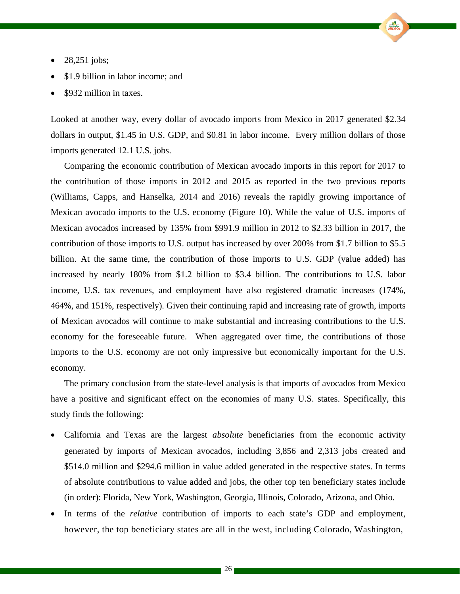- 28,251 jobs;
- \$1.9 billion in labor income; and
- \$932 million in taxes.

 Looked at another way, every dollar of avocado imports from Mexico in 2017 generated \$2.34 imports generated 12.1 U.S. jobs. dollars in output, \$1.45 in U.S. GDP, and \$0.81 in labor income. Every million dollars of those

 (Williams, Capps, and Hanselka, 2014 and 2016) reveals the rapidly growing importance of 464%, and 151%, respectively). Given their continuing rapid and increasing rate of growth, imports Comparing the economic contribution of Mexican avocado imports in this report for 2017 to the contribution of those imports in 2012 and 2015 as reported in the two previous reports Mexican avocado imports to the U.S. economy (Figure 10). While the value of U.S. imports of Mexican avocados increased by 135% from \$991.9 million in 2012 to \$2.33 billion in 2017, the contribution of those imports to U.S. output has increased by over 200% from \$1.7 billion to \$5.5 billion. At the same time, the contribution of those imports to U.S. GDP (value added) has increased by nearly 180% from \$1.2 billion to \$3.4 billion. The contributions to U.S. labor income, U.S. tax revenues, and employment have also registered dramatic increases (174%, of Mexican avocados will continue to make substantial and increasing contributions to the U.S. economy for the foreseeable future. When aggregated over time, the contributions of those imports to the U.S. economy are not only impressive but economically important for the U.S. economy.

 have a positive and significant effect on the economies of many U.S. states. Specifically, this The primary conclusion from the state-level analysis is that imports of avocados from Mexico study finds the following:

- California and Texas are the largest *absolute* beneficiaries from the economic activity generated by imports of Mexican avocados, including 3,856 and 2,313 jobs created and \$514.0 million and \$294.6 million in value added generated in the respective states. In terms of absolute contributions to value added and jobs, the other top ten beneficiary states include (in order): Florida, New York, Washington, Georgia, Illinois, Colorado, Arizona, and Ohio.
- however, the top beneficiary states are all in the west, including Colorado, Washington, • In terms of the *relative* contribution of imports to each state's GDP and employment,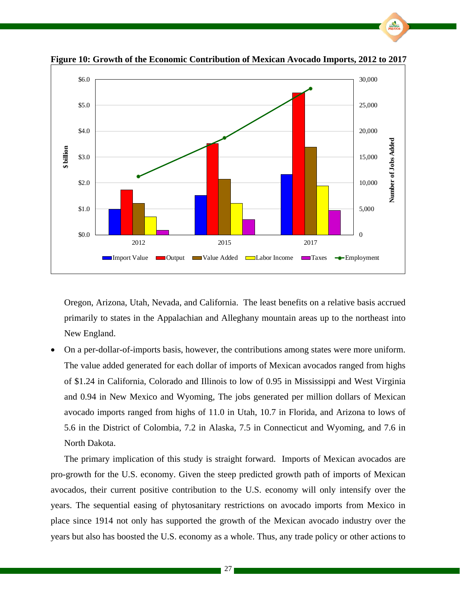

**Figure 10: Growth of the Economic Contribution of Mexican Avocado Imports, 2012 to 2017** 

 New England. Oregon, Arizona, Utah, Nevada, and California. The least benefits on a relative basis accrued primarily to states in the Appalachian and Alleghany mountain areas up to the northeast into

 avocado imports ranged from highs of 11.0 in Utah, 10.7 in Florida, and Arizona to lows of • On a per-dollar-of-imports basis, however, the contributions among states were more uniform. The value added generated for each dollar of imports of Mexican avocados ranged from highs of \$1.24 in California, Colorado and Illinois to low of 0.95 in Mississippi and West Virginia and 0.94 in New Mexico and Wyoming, The jobs generated per million dollars of Mexican 5.6 in the District of Colombia, 7.2 in Alaska, 7.5 in Connecticut and Wyoming, and 7.6 in North Dakota.

 years. The sequential easing of phytosanitary restrictions on avocado imports from Mexico in The primary implication of this study is straight forward. Imports of Mexican avocados are pro-growth for the U.S. economy. Given the steep predicted growth path of imports of Mexican avocados, their current positive contribution to the U.S. economy will only intensify over the place since 1914 not only has supported the growth of the Mexican avocado industry over the years but also has boosted the U.S. economy as a whole. Thus, any trade policy or other actions to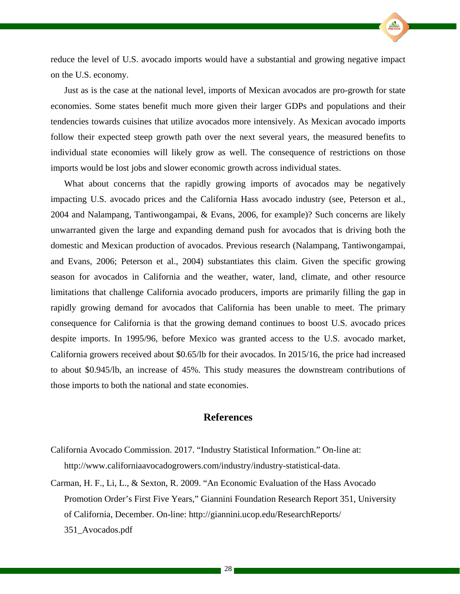reduce the level of U.S. avocado imports would have a substantial and growing negative impact on the U.S. economy.

Just as is the case at the national level, imports of Mexican avocados are pro-growth for state economies. Some states benefit much more given their larger GDPs and populations and their tendencies towards cuisines that utilize avocados more intensively. As Mexican avocado imports follow their expected steep growth path over the next several years, the measured benefits to individual state economies will likely grow as well. The consequence of restrictions on those imports would be lost jobs and slower economic growth across individual states.

 and Evans, 2006; Peterson et al., 2004) substantiates this claim. Given the specific growing season for avocados in California and the weather, water, land, climate, and other resource What about concerns that the rapidly growing imports of avocados may be negatively impacting U.S. avocado prices and the California Hass avocado industry (see, Peterson et al., 2004 and Nalampang, Tantiwongampai, & Evans, 2006, for example)? Such concerns are likely unwarranted given the large and expanding demand push for avocados that is driving both the domestic and Mexican production of avocados. Previous research (Nalampang, Tantiwongampai, limitations that challenge California avocado producers, imports are primarily filling the gap in rapidly growing demand for avocados that California has been unable to meet. The primary consequence for California is that the growing demand continues to boost U.S. avocado prices despite imports. In 1995/96, before Mexico was granted access to the U.S. avocado market, California growers received about \$0.65/lb for their avocados. In 2015/16, the price had increased to about \$0.945/lb, an increase of 45%. This study measures the downstream contributions of those imports to both the national and state economies.

### **References**

- California Avocado Commission. 2017. "Industry Statistical Information." On-line at: http://www.californiaavocadogrowers.com/industry/industry-statistical-data.
- Promotion Order's First Five Years," Giannini Foundation Research Report 351, University Carman, H. F., Li, L., & Sexton, R. 2009. "An Economic Evaluation of the Hass Avocado of California, December. On-line: http://giannini.ucop.edu/ResearchReports/ 351\_Avocados.pdf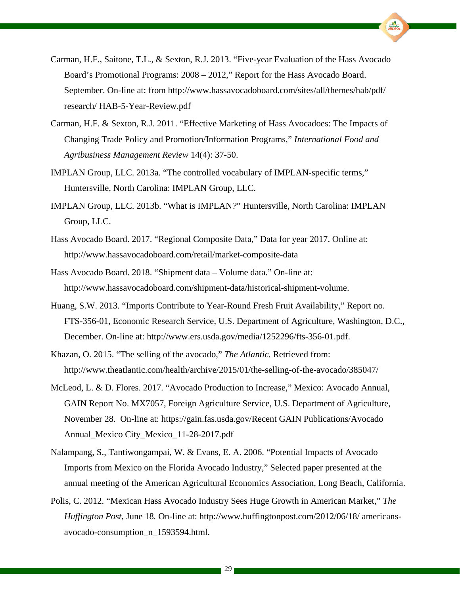- Board's Promotional Programs: 2008 2012," Report for the Hass Avocado Board. Carman, H.F., Saitone, T.L., & Sexton, R.J. 2013. "Five-year Evaluation of the Hass Avocado September. On-line at: from http://www.hassavocadoboard.com/sites/all/themes/hab/pdf/ research/ HAB-5-Year-Review.pdf
- *Agribusiness Management Review* 14(4): 37-50. Carman, H.F. & Sexton, R.J. 2011. "Effective Marketing of Hass Avocadoes: The Impacts of Changing Trade Policy and Promotion/Information Programs," *International Food and*
- Huntersville, North Carolina: IMPLAN Group, LLC. IMPLAN Group, LLC. 2013a. "The controlled vocabulary of IMPLAN-specific terms,"
- IMPLAN Group, LLC. 2013b. "What is IMPLAN*?*" Huntersville, North Carolina: IMPLAN Group, LLC.
- Hass Avocado Board. 2017. "Regional Composite Data," Data for year 2017. Online at: http://www.hassavocadoboard.com/retail/market-composite-data
- Hass Avocado Board. 2018. "Shipment data Volume data." On-line at: http://www.hassavocadoboard.com/shipment-data/historical-shipment-volume.
- Huang, S.W. 2013. "Imports Contribute to Year-Round Fresh Fruit Availability," Report no. FTS-356-01, Economic Research Service, U.S. Department of Agriculture, Washington, D.C., December. On-line at: http://www.ers.usda.gov/media/1252296/fts-356-01.pdf.
- Khazan, O. 2015. "The selling of the avocado," *The Atlantic.* Retrieved from: http://www.theatlantic.com/health/archive/2015/01/the-selling-of-the-avocado/385047/
- November 28. On-line at: https://gain.fas.usda.gov/Recent GAIN Publications/Avocado McLeod, L. & D. Flores. 2017. "Avocado Production to Increase," Mexico: Avocado Annual, GAIN Report No. MX7057, Foreign Agriculture Service, U.S. Department of Agriculture, Annual\_Mexico City\_Mexico\_11-28-2017.pdf
- Nalampang, S., Tantiwongampai, W. & Evans, E. A. 2006. "Potential Impacts of Avocado Imports from Mexico on the Florida Avocado Industry," Selected paper presented at the annual meeting of the American Agricultural Economics Association, Long Beach, California.
- Polis, C. 2012. "Mexican Hass Avocado Industry Sees Huge Growth in American Market," *The Huffington Post*, June 18*.* On-line at: http://www.huffingtonpost.com/2012/06/18/ americansavocado-consumption\_n\_1593594.html.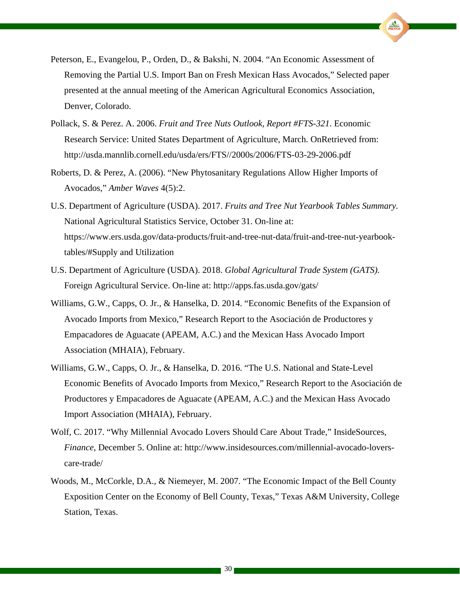- Peterson, E., Evangelou, P., Orden, D., & Bakshi, N. 2004. "An Economic Assessment of Removing the Partial U.S. Import Ban on Fresh Mexican Hass Avocados," Selected paper presented at the annual meeting of the American Agricultural Economics Association, Denver, Colorado.
- Pollack, S. & Perez. A. 2006. *Fruit and Tree Nuts Outlook, Report #FTS-321*. Economic Research Service: United States Department of Agriculture, March. OnRetrieved from: http://usda.mannlib.cornell.edu/usda/ers/FTS//2000s/2006/FTS-03-29-2006.pdf
- Roberts, D. & Perez, A. (2006). "New Phytosanitary Regulations Allow Higher Imports of Avocados," *Amber Waves* 4(5):2.
- U.S. Department of Agriculture (USDA). 2017. *Fruits and Tree Nut Yearbook Tables Summary.*  tables/#Supply and Utilization National Agricultural Statistics Service, October 31. On-line at: https://www.ers.usda.gov/data-products/fruit-and-tree-nut-data/fruit-and-tree-nut-yearbook-
- U.S. Department of Agriculture (USDA). 2018. *Global Agricultural Trade System (GATS).*  Foreign Agricultural Service. On-line at: http://apps.fas.usda.gov/gats/
- Avocado Imports from Mexico," Research Report to the Asociación de Productores y Association (MHAIA), February. Association (MHAIA), February. Williams, G.W., Capps, O. Jr., & Hanselka, D. 2016. "The U.S. National and State-Level Williams, G.W., Capps, O. Jr., & Hanselka, D. 2014. "Economic Benefits of the Expansion of Empacadores de Aguacate (APEAM, A.C.) and the Mexican Hass Avocado Import
- Economic Benefits of Avocado Imports from Mexico," Research Report to the Asociación de Productores y Empacadores de Aguacate (APEAM, A.C.) and the Mexican Hass Avocado Import Association (MHAIA), February.
- Wolf, C. 2017. "Why Millennial Avocado Lovers Should Care About Trade," InsideSources, *Finance,* December 5. Online at: http://www.insidesources.com/millennial-avocado-loverscare-trade/
- Woods, M., McCorkle, D.A., & Niemeyer, M. 2007. "The Economic Impact of the Bell County Exposition Center on the Economy of Bell County, Texas," Texas A&M University, College Station, Texas.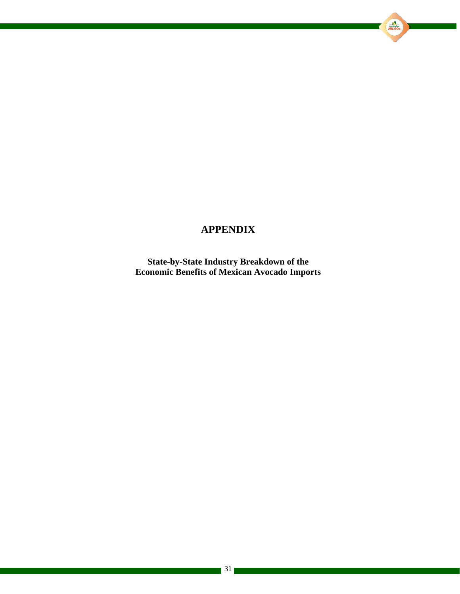### **APPENDIX**

Avocados

**State-by-State Industry Breakdown of the Economic Benefits of Mexican Avocado Imports**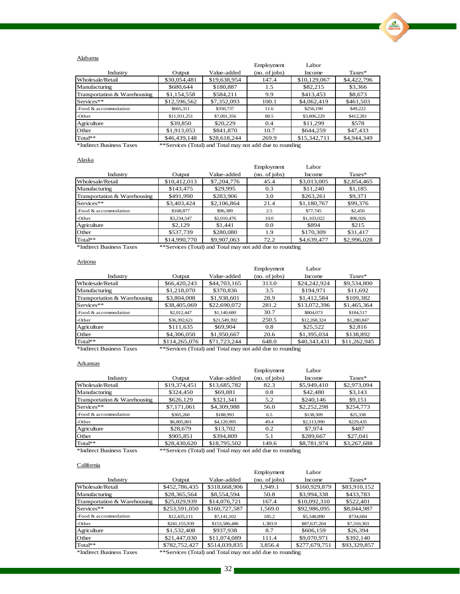#### Alabama

|                              |              |              | Employment    | Labor        |             |
|------------------------------|--------------|--------------|---------------|--------------|-------------|
| Industry                     | Output       | Value-added  | (no. of jobs) | Income       | Taxes*      |
| Wholesale/Retail             | \$30,054,481 | \$19,638,954 | 147.4         | \$10,129,067 | \$4,422,796 |
| Manufacturing                | \$680,644    | \$180,887    | 1.5           | \$82,215     | \$3,366     |
| Transportation & Warehousing | \$1,154,558  | \$584,211    | 9.9           | \$413,453    | \$8,673     |
| Services**                   | \$12,596,562 | \$7,352,093  | 100.1         | \$4,062,419  | \$461,503   |
| -Food & accommodation        | \$665,311    | \$350,737    | 11.6          | \$256,190    | \$49,222    |
| -Other                       | \$11,931,251 | \$7,001,356  | 88.5          | \$3,806,229  | \$412,281   |
| Agriculture                  | \$39,850     | \$20,229     | 0.4           | \$11,299     | \$578       |
| Other                        | \$1,913,053  | \$841,870    | 10.7          | \$644,259    | \$47,433    |
| Total**                      | \$46,439,148 | \$28,618,244 | 269.9         | \$15,342,711 | \$4,944,349 |

\*Indirect Business Taxes \*\*Services (Total) and Total may not add due to rounding

#### Alaska

|                                                                                                                       |              |                             | Employment    | Labor       |             |
|-----------------------------------------------------------------------------------------------------------------------|--------------|-----------------------------|---------------|-------------|-------------|
| Industry                                                                                                              | Output       | Value-added                 | (no. of jobs) | Income      | Taxes*      |
| Wholesale/Retail                                                                                                      | \$10,412,013 | \$7,204,776                 | 45.4          | \$3,013,005 | \$2,854,465 |
| Manufacturing                                                                                                         | \$143,475    | \$29,995                    | 0.3           | \$11,240    | \$1,185     |
| Transportation & Warehousing                                                                                          | \$491,990    | \$283,906                   | 3.0           | \$263,261   | \$9,371     |
| Services**                                                                                                            | \$3,403,424  | \$2,106,864                 | 21.4          | \$1,180,767 | \$99,376    |
| -Food & accommodation                                                                                                 | \$168,877    | \$96,389                    | 2.5           | \$77,745    | \$2,450     |
| -Other                                                                                                                | \$3,234,547  | \$2,010,476                 | 19.0          | \$1,103,022 | \$96,926    |
| Agriculture                                                                                                           | \$2.129      | \$1,441                     | 0.0           | \$894       | \$215       |
| Other                                                                                                                 | \$537.739    | \$280,080                   | 1.9           | \$170,309   | \$31,417    |
| Total**                                                                                                               | \$14,990,770 | \$9,907,063                 | 72.2          | \$4,639,477 | \$2,996,028 |
| $\mathbf{a} \cdot \mathbf{v} = \mathbf{a} \cdot \mathbf{v} = \mathbf{a} \cdot \mathbf{v}$<br>$\overline{\phantom{a}}$ |              | $\sim$ $\sim$ $\sim$ $\sim$ |               | $\cdot$     |             |

\*Indirect Business Taxes \*\*Services (Total) and Total may not add due to rounding

#### Arizona

|                                                                                      |               |              | Employment    | Labor        |              |  |
|--------------------------------------------------------------------------------------|---------------|--------------|---------------|--------------|--------------|--|
| Industry                                                                             | Output        | Value-added  | (no. of jobs) | Income       | Taxes*       |  |
| Wholesale/Retail                                                                     | \$66,420,243  | \$44,703,165 | 313.0         | \$24,242,924 | \$9,534,800  |  |
| Manufacturing                                                                        | \$1,218,070   | \$370,836    | 3.5           | \$194,971    | \$11,692     |  |
| Transportation & Warehousing                                                         | \$3,804,008   | \$1,938,601  | 28.9          | \$1,412,584  | \$109,382    |  |
| Services**                                                                           | \$38,405,069  | \$22,690,072 | 281.2         | \$13,072,396 | \$1,465,364  |  |
| -Food & accommodation                                                                | \$2,012,447   | \$1,140,680  | 30.7          | \$804,073    | \$184,517    |  |
| -Other                                                                               | \$36,392,621  | \$21,549,392 | 250.5         | \$12,268,324 | \$1,280,847  |  |
| Agriculture                                                                          | \$111,635     | \$69,904     | 0.8           | \$25,522     | \$2,816      |  |
| Other                                                                                | \$4,306,050   | \$1,950,667  | 20.6          | \$1,395,034  | \$138,892    |  |
| Total**                                                                              | \$114,265,076 | \$71,723,244 | 648.0         | \$40,343,431 | \$11,262,945 |  |
| **Services (Total) and Total may not add due to rounding<br>*Indirect Business Taxes |               |              |               |              |              |  |

#### Arkansas

| ---------                    |              |              | Employment    | Labor         |             |
|------------------------------|--------------|--------------|---------------|---------------|-------------|
| Industry                     | Output       | Value-added  | (no. of jobs) | <b>Income</b> | Taxes*      |
| Wholesale/Retail             | \$19,374,451 | \$13,685,782 | 82.3          | \$5,949,410   | \$2,973,094 |
| Manufacturing                | \$324,450    | \$69,881     | 0.8           | \$42,480      | \$3,143     |
| Transportation & Warehousing | \$626,129    | \$321,341    | 5.2           | \$240,146     | \$9,151     |
| Services**                   | \$7,171,061  | \$4,309,988  | 56.0          | \$2,252,298   | \$254,773   |
| -Food & accommodation        | \$365,260    | \$188,993    | 6.5           | \$138,309     | \$25,338    |
| -Other                       | \$6,805,801  | \$4,120,995  | 49.4          | \$2,113,990   | \$229,435   |
| Agriculture                  | \$28,679     | \$13,702     | 0.2           | \$7,974       | \$487       |
| Other                        | \$905,851    | \$394,809    | 5.1           | \$289,667     | \$27,041    |
| Total**                      | \$28,430,620 | \$18,795,502 | 149.6         | \$8,781,974   | \$3,267,688 |

\*Indirect Business Taxes \*\*Services (Total) and Total may not add due to rounding

#### **California**

| Camorma                      |               |               |               |               |              |
|------------------------------|---------------|---------------|---------------|---------------|--------------|
|                              |               |               | Employment    | Labor         |              |
| Industry                     | Output        | Value-added   | (no. of jobs) | Income        | $Taxes*$     |
| Wholesale/Retail             | \$452,786,435 | \$318,668,906 | 1,949.1       | \$160,929,879 | \$83,910,152 |
| Manufacturing                | \$28,365,564  | \$8,554,594   | 50.8          | \$3,994,338   | \$433,783    |
| Transportation & Warehousing | \$25,029,939  | \$14,076,721  | 167.4         | \$10,092,310  | \$522,401    |
| Services**                   | \$253,591,050 | \$160,727,587 | 1,569.0       | \$92,986,095  | \$8,044,987  |
| -Food & accommodation        | \$12,435,111  | \$7,141,102   | 185.2         | \$5,348,890   | \$734,684    |
| -Other                       | \$241,155,939 | \$153,586,486 | 1.383.9       | \$87,637,204  | \$7,310,303  |
| Agriculture                  | \$1,532,408   | \$937,938     | 8.7           | \$606,159     | \$26,394     |
| Other                        | \$21,447,030  | \$11,074,089  | 111.4         | \$9,070,971   | \$392,140    |
| Total**                      | \$782,752,427 | \$514,039,835 | 3,856.4       | \$277,679,751 | \$93,329,857 |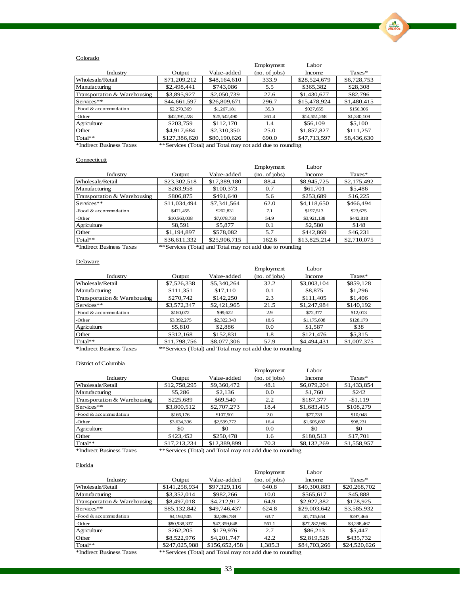#### Colorado

|                              |               |              | Employment    | Labor        |             |
|------------------------------|---------------|--------------|---------------|--------------|-------------|
| Industry                     | Output        | Value-added  | (no. of jobs) | Income       | $Taxes*$    |
| Wholesale/Retail             | \$71,209,212  | \$48,164,610 | 333.9         | \$28,524,679 | \$6,728,753 |
| Manufacturing                | \$2,498,441   | \$743,086    | 5.5           | \$365,382    | \$28,308    |
| Transportation & Warehousing | \$3,895,927   | \$2,050,739  | 27.6          | \$1,430,677  | \$82,796    |
| Services**                   | \$44,661,597  | \$26,809,671 | 296.7         | \$15,478,924 | \$1,480,415 |
| -Food & accommodation        | \$2,270,369   | \$1,267,181  | 35.3          | \$927,655    | \$150,306   |
| -Other                       | \$42,391,228  | \$25,542,490 | 261.4         | \$14,551,268 | \$1,330,109 |
| Agriculture                  | \$203,759     | \$112,170    | 1.4           | \$56,109     | \$5,100     |
| Other                        | \$4,917,684   | \$2,310,350  | 25.0          | \$1,857,827  | \$111,257   |
| Total**                      | \$127,386,620 | \$80,190,626 | 690.0         | \$47,713,597 | \$8,436,630 |

\*Indirect Business Taxes \*\*Services (Total) and Total may not add due to rounding

#### **Connecticutt**

|                              |              |              | Employment    | Labor        |             |
|------------------------------|--------------|--------------|---------------|--------------|-------------|
| Industry                     | Output       | Value-added  | (no. of jobs) | Income       | Taxes*      |
| Wholesale/Retail             | \$23,302,518 | \$17,389,180 | 88.4          | \$8,945,725  | \$2,175,492 |
| Manufacturing                | \$263,958    | \$100,373    | 0.7           | \$61,701     | \$5,486     |
| Transportation & Warehousing | \$806,875    | \$491,640    | 5.6           | \$253,689    | \$16,225    |
| Services**                   | \$11,034,494 | \$7,341,564  | 62.0          | \$4,118,650  | \$466,494   |
| -Food & accommodation        | \$471,455    | \$262,831    | 7.1           | \$197,513    | \$23,675    |
| -Other                       | \$10,563,038 | \$7,078,733  | 54.9          | \$3,921,138  | \$442,818   |
| Agriculture                  | \$8,591      | \$5,877      | 0.1           | \$2,580      | \$148       |
| Other                        | \$1,194,897  | \$578,082    | 5.7           | \$442,869    | \$46,231    |
| Total**                      | \$36,611,332 | \$25,906,715 | 162.6         | \$13,825,214 | \$2,710,075 |

\*Indirect Business Taxes \*\*Services (Total) and Total may not add due to rounding

#### Delaware

|                              |              |             | Employment    | Labor       |             |
|------------------------------|--------------|-------------|---------------|-------------|-------------|
| Industry                     | Output       | Value-added | (no. of jobs) | Income      | Taxes*      |
| Wholesale/Retail             | \$7,526,338  | \$5,340,264 | 32.2          | \$3,003,104 | \$859,128   |
| Manufacturing                | \$111,351    | \$17,110    | 0.1           | \$8,875     | \$1,296     |
| Transportation & Warehousing | \$270,742    | \$142,250   | 2.3           | \$111,405   | \$1,406     |
| Services**                   | \$3,572,347  | \$2,421,965 | 21.5          | \$1,247,984 | \$140,192   |
| -Food & accommodation        | \$180,072    | \$99,622    | 2.9           | \$72,377    | \$12,013    |
| -Other                       | \$3,392,275  | \$2,322,343 | 18.6          | \$1,175,608 | \$128,179   |
| Agriculture                  | \$5,810      | \$2,886     | 0.0           | \$1,587     | \$38        |
| Other                        | \$312,168    | \$152,831   | 1.8           | \$121,476   | \$5,315     |
| Total**                      | \$11,798,756 | \$8,077,306 | 57.9          | \$4,494,431 | \$1,007,375 |

\*Indirect Business Taxes \*\*Services (Total) and Total may not add due to rounding

#### District of Columbia

|                              |              |              | Employment    | Labor         |             |
|------------------------------|--------------|--------------|---------------|---------------|-------------|
| Industry                     | Output       | Value-added  | (no. of jobs) | <b>Income</b> | $Taxes*$    |
| Wholesale/Retail             | \$12,758,295 | \$9,360,472  | 48.1          | \$6,079,204   | \$1,433,854 |
| Manufacturing                | \$5,286      | \$2,136      | 0.0           | \$1,760       | \$242       |
| Transportation & Warehousing | \$225,689    | \$69,540     | 2.2           | \$187,377     | $-$1,119$   |
| Services**                   | \$3,800,512  | \$2,707,273  | 18.4          | \$1,683,415   | \$108,279   |
| -Food & accommodation        | \$166,176    | \$107.501    | 2.0           | \$77,733      | \$10,048    |
| -Other                       | \$3,634,336  | \$2,599,772  | 16.4          | \$1,605,682   | \$98,231    |
| Agriculture                  | \$0          | \$0          | 0.0           | \$0           | \$0         |
| Other                        | \$423,452    | \$250,478    | 1.6           | \$180,513     | \$17,701    |
| Total**                      | \$17,213,234 | \$12,389,899 | 70.3          | \$8,132,269   | \$1,558,957 |

\*Indirect Business Taxes \*\*Services (Total) and Total may not add due to rounding

#### Florida

| гюна                         |               |               |               |              |              |
|------------------------------|---------------|---------------|---------------|--------------|--------------|
|                              |               |               | Employment    | Labor        |              |
| Industry                     | Output        | Value-added   | (no. of jobs) | Income       | $Taxes*$     |
| Wholesale/Retail             | \$141,258,934 | \$97,329,116  | 640.8         | \$49,300,883 | \$20,268,702 |
| Manufacturing                | \$3,352,014   | \$982,266     | 10.0          | \$565,617    | \$45,888     |
| Transportation & Warehousing | \$8,497,018   | \$4,212,917   | 64.9          | \$2,927,382  | \$178,925    |
| Services**                   | \$85,132,842  | \$49,746,437  | 624.8         | \$29,003,642 | \$3,585,932  |
| -Food & accommodation        | \$4,194,505   | \$2,386,789   | 63.7          | \$1,715,654  | \$297,466    |
| -Other                       | \$80,938,337  | \$47,359,648  | 561.1         | \$27,287,988 | \$3,288,467  |
| Agriculture                  | \$262,205     | \$179,976     | 2.7           | \$86,213     | \$5,447      |
| Other                        | \$8,522,976   | \$4,201,747   | 42.2          | \$2,819,528  | \$435,732    |
| $Total**$                    | \$247,025,988 | \$156,652,458 | 1,385.3       | \$84,703,266 | \$24,520,626 |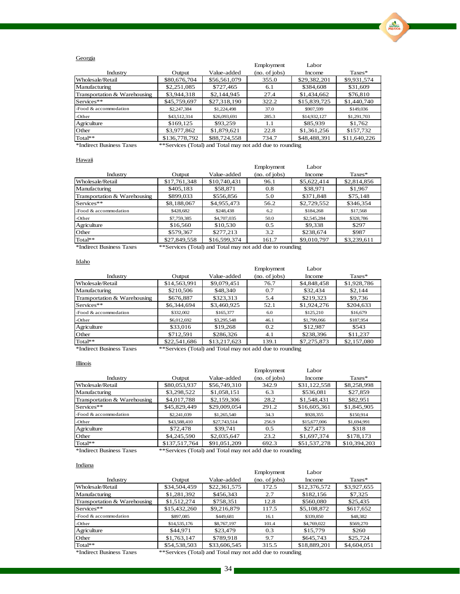#### Georgia

|                              |               |              | Employment    | Labor        |              |
|------------------------------|---------------|--------------|---------------|--------------|--------------|
| Industry                     | Output        | Value-added  | (no. of jobs) | Income       | $Taxes*$     |
| Wholesale/Retail             | \$80,676,704  | \$56,561,079 | 355.0         | \$29,382,201 | \$9,931,574  |
| Manufacturing                | \$2,251,085   | \$727,465    | 6.1           | \$384,608    | \$31,609     |
| Transportation & Warehousing | \$3,944,318   | \$2,144,945  | 27.4          | \$1,434,662  | \$76,810     |
| Services**                   | \$45,759,697  | \$27,318,190 | 322.2         | \$15,839,725 | \$1,440,740  |
| -Food & accommodation        | \$2,247,384   | \$1,224,498  | 37.0          | \$907,599    | \$149,036    |
| -Other                       | \$43,512,314  | \$26,093,691 | 285.3         | \$14,932,127 | \$1,291,703  |
| Agriculture                  | \$169,125     | \$93,259     | 1.1           | \$85,939     | \$1,762      |
| Other                        | \$3,977,862   | \$1,879,621  | 22.8          | \$1,361,256  | \$157,732    |
| Total**                      | \$136,778,792 | \$88,724,558 | 734.7         | \$48,488,391 | \$11,640,226 |

\*Indirect Business Taxes \*\*Services (Total) and Total may not add due to rounding

#### **Hawaii**

|                              |              |              | Employment    | Labor       |             |
|------------------------------|--------------|--------------|---------------|-------------|-------------|
| Industry                     | Output       | Value-added  | (no. of jobs) | Income      | Taxes*      |
| Wholesale/Retail             | \$17,761,348 | \$10,740,431 | 96.1          | \$5,622,414 | \$2,814,856 |
| Manufacturing                | \$405,183    | \$58,871     | 0.8           | \$38,971    | \$1,967     |
| Transportation & Warehousing | \$899,033    | \$556,856    | 5.0           | \$371,848   | \$75,148    |
| Services**                   | \$8,188,067  | \$4,955,473  | 56.2          | \$2,729,552 | \$346,354   |
| -Food & accommodation        | \$428,682    | \$248,438    | 6.2           | \$184,268   | \$17,568    |
| -Other                       | \$7,759,385  | \$4,707,035  | 50.0          | \$2,545,284 | \$328,786   |
| Agriculture                  | \$16,560     | \$10,530     | 0.5           | \$9,338     | \$297       |
| Other                        | \$579,367    | \$277,213    | 3.2           | \$238,674   | \$987       |
| Total**                      | \$27,849,558 | \$16,599,374 | 161.7         | \$9,010,797 | \$3,239,611 |

\*Indirect Business Taxes \*\*Services (Total) and Total may not add due to rounding

#### Idaho

|                              |              |              | Employment    | Labor         |             |
|------------------------------|--------------|--------------|---------------|---------------|-------------|
| Industry                     | Output       | Value-added  | (no. of jobs) | <b>Income</b> | Taxes*      |
| Wholesale/Retail             | \$14,563,991 | \$9,079,451  | 76.7          | \$4,848,458   | \$1,928,786 |
| Manufacturing                | \$210,506    | \$48,340     | 0.7           | \$32,434      | \$2,144     |
| Transportation & Warehousing | \$676,887    | \$323,313    | 5.4           | \$219,323     | \$9,736     |
| Services**                   | \$6,344,694  | \$3,460,925  | 52.1          | \$1,924,276   | \$204,633   |
| -Food & accommodation        | \$332,002    | \$165,377    | 6.0           | \$125,210     | \$16,679    |
| -Other                       | \$6,012,692  | \$3,295,548  | 46.1          | \$1,799,066   | \$187,954   |
| Agriculture                  | \$33,016     | \$19,268     | 0.2           | \$12,987      | \$543       |
| Other                        | \$712,591    | \$286,326    | 4.1           | \$238,396     | \$11,237    |
| Total**                      | \$22,541,686 | \$13,217,623 | 139.1         | \$7,275,873   | \$2,157,080 |

\*Indirect Business Taxes \*\*Services (Total) and Total may not add due to rounding

#### Illinois

|                              |               |              | Employment    | Labor         |              |
|------------------------------|---------------|--------------|---------------|---------------|--------------|
| Industry                     | Output        | Value-added  | (no. of jobs) | <b>Income</b> | $Taxes*$     |
| Wholesale/Retail             | \$80,053,937  | \$56,749,310 | 342.9         | \$31,122,558  | \$8,258,998  |
| Manufacturing                | \$3,298,522   | \$1,058,151  | 6.3           | \$536,081     | \$27,859     |
| Transportation & Warehousing | \$4,017,788   | \$2,159,306  | 28.2          | \$1,548,431   | \$82,951     |
| Services**                   | \$45,829,449  | \$29,009,054 | 291.2         | \$16,605,361  | \$1,845,905  |
| -Food & accommodation        | \$2,241,039   | \$1,265,540  | 34.3          | \$928,355     | \$150,914    |
| -Other                       | \$43,588,410  | \$27,743,514 | 256.9         | \$15,677,006  | \$1,694,991  |
| Agriculture                  | \$72,478      | \$39,741     | 0.5           | \$27,473      | \$318        |
| Other                        | \$4,245,590   | \$2,035,647  | 23.2          | \$1,697,374   | \$178,173    |
| Total**                      | \$137,517,764 | \$91,051,209 | 692.3         | \$51,537,278  | \$10,394,203 |

\*Indirect Business Taxes \*\*Services (Total) and Total may not add due to rounding

#### Indiana

| пыша                         |              |              | Employment    | Labor        |             |
|------------------------------|--------------|--------------|---------------|--------------|-------------|
| Industry                     | Output       | Value-added  | (no. of jobs) | Income       | Taxes*      |
| Wholesale/Retail             | \$34,504,459 | \$22,361,575 | 172.5         | \$12,376,572 | \$3,927,655 |
| Manufacturing                | \$1,281,392  | \$456,343    | 2.7           | \$182,156    | \$7,325     |
| Transportation & Warehousing | \$1,512,274  | \$758,351    | 12.8          | \$560,080    | \$25,435    |
| Services**                   | \$15,432,260 | \$9,216,879  | 117.5         | \$5,108,872  | \$617,652   |
| -Food & accommodation        | \$897,085    | \$449,681    | 16.1          | \$339,850    | \$48,382    |
| -Other                       | \$14,535,176 | \$8,767,197  | 101.4         | \$4,769,022  | \$569,270   |
| Agriculture                  | \$44,971     | \$23,479     | 0.3           | \$15,779     | \$260       |
| Other                        | \$1,763,147  | \$789,918    | 9.7           | \$645,743    | \$25,724    |
| Total**                      | \$54,538,503 | \$33,606,545 | 315.5         | \$18,889,201 | \$4,604,051 |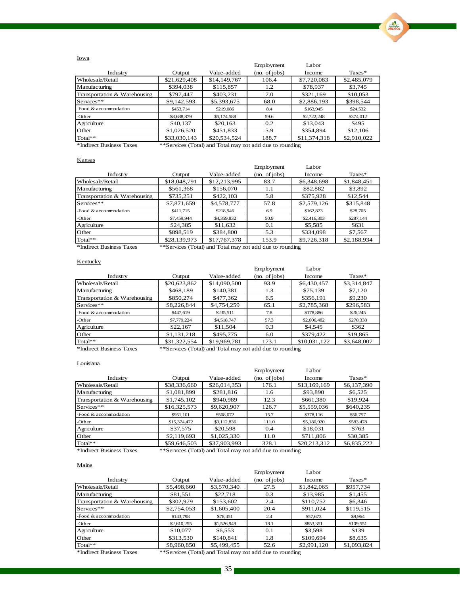#### Iowa

|                              |              |              | Employment    | Labor         |             |
|------------------------------|--------------|--------------|---------------|---------------|-------------|
| Industry                     | Output       | Value-added  | (no. of jobs) | <b>Income</b> | Taxes*      |
| Wholesale/Retail             | \$21,629,408 | \$14,149,767 | 106.4         | \$7,720,083   | \$2,485,079 |
| Manufacturing                | \$394,038    | \$115,857    | 1.2           | \$78,937      | \$3,745     |
| Transportation & Warehousing | \$797,447    | \$403.231    | 7.0           | \$321,169     | \$10,053    |
| Services**                   | \$9,142,593  | \$5,393,675  | 68.0          | \$2,886,193   | \$398,544   |
| -Food & accommodation        | \$453,714    | \$219,086    | 8.4           | \$163,945     | \$24,532    |
| -Other                       | \$8,688,879  | \$5,174,588  | 59.6          | \$2,722,248   | \$374,012   |
| Agriculture                  | \$40,137     | \$20,163     | 0.2           | \$13,043      | \$495       |
| Other                        | \$1,026,520  | \$451,833    | 5.9           | \$354,894     | \$12,106    |
| Total**                      | \$33,030,143 | \$20,534,524 | 188.7         | \$11,374,318  | \$2,910,022 |

\*Indirect Business Taxes \*\*Services (Total) and Total may not add due to rounding

#### Kansas

|                                                                                                                       |              |              | Employment    | Labor       |             |
|-----------------------------------------------------------------------------------------------------------------------|--------------|--------------|---------------|-------------|-------------|
| Industry                                                                                                              | Output       | Value-added  | (no. of jobs) | Income      | Taxes*      |
| Wholesale/Retail                                                                                                      | \$18,048,791 | \$12,213,995 | 83.7          | \$6,348,698 | \$1,848,451 |
| Manufacturing                                                                                                         | \$561,368    | \$156,070    | 1.1           | \$82,882    | \$3,892     |
| Transportation & Warehousing                                                                                          | \$735,251    | \$422,103    | 5.8           | \$375,928   | \$12,544    |
| Services**                                                                                                            | \$7,871,659  | \$4,578,777  | 57.8          | \$2,579,126 | \$315,848   |
| -Food & accommodation                                                                                                 | \$411,715    | \$218,946    | 6.9           | \$162,823   | \$28,705    |
| -Other                                                                                                                | \$7,459,944  | \$4,359,832  | 50.9          | \$2,416,303 | \$287,144   |
| Agriculture                                                                                                           | \$24,385     | \$11,632     | 0.1           | \$5,585     | \$631       |
| Other                                                                                                                 | \$898.519    | \$384,800    | 5.3           | \$334,098   | \$7,567     |
| Total**                                                                                                               | \$28,139,973 | \$17,767,378 | 153.9         | \$9,726,318 | \$2,188,934 |
| $\mathbf{a} \cdot \mathbf{v} = \mathbf{a} \cdot \mathbf{v} = \mathbf{a} \cdot \mathbf{v}$<br>$\overline{\phantom{a}}$ | $-11.11.001$ |              |               | $\cdot$     |             |

\*Indirect Business Taxes \*\*Services (Total) and Total may not add due to rounding

#### Kentucky

|                                                                                      |              |              | Employment    | Labor        |             |  |
|--------------------------------------------------------------------------------------|--------------|--------------|---------------|--------------|-------------|--|
| Industry                                                                             | Output       | Value-added  | (no. of jobs) | Income       | Taxes*      |  |
| Wholesale/Retail                                                                     | \$20,623,862 | \$14,090,500 | 93.9          | \$6,430,457  | \$3,314,847 |  |
| Manufacturing                                                                        | \$468,189    | \$140.381    | 1.3           | \$75,139     | \$7,120     |  |
| Transportation & Warehousing                                                         | \$850,274    | \$477,362    | 6.5           | \$356,191    | \$9,230     |  |
| Services**                                                                           | \$8,226,844  | \$4,754,259  | 65.1          | \$2,785,368  | \$296,583   |  |
| -Food & accommodation                                                                | \$447,619    | \$235,511    | 7.8           | \$178,886    | \$26,245    |  |
| -Other                                                                               | \$7,779,224  | \$4,518,747  | 57.3          | \$2,606,482  | \$270,338   |  |
| Agriculture                                                                          | \$22,167     | \$11,504     | 0.3           | \$4,545      | \$362       |  |
| Other                                                                                | \$1,131,218  | \$495,775    | 6.0           | \$379,422    | \$19,865    |  |
| Total**                                                                              | \$31,322,554 | \$19,969,781 | 173.1         | \$10,031,122 | \$3,648,007 |  |
| *Indirect Business Taxes<br>**Services (Total) and Total may not add due to rounding |              |              |               |              |             |  |

#### Louisiana

|                              |              |              | Employment    | Labor        |             |
|------------------------------|--------------|--------------|---------------|--------------|-------------|
| Industry                     | Output       | Value-added  | (no. of jobs) | Income       | Taxes*      |
| Wholesale/Retail             | \$38,336,660 | \$26,014,353 | 176.1         | \$13,169,169 | \$6,137,390 |
| Manufacturing                | \$1,081,899  | \$281,816    | 1.6           | \$93,890     | \$6,525     |
| Transportation & Warehousing | \$1,745,102  | \$940.989    | 12.3          | \$661,380    | \$19,924    |
| Services**                   | \$16,325,573 | \$9,620,907  | 126.7         | \$5,559,036  | \$640,235   |
| -Food & accommodation        | \$951.101    | \$508,072    | 15.7          | \$378,116    | \$56,757    |
| -Other                       | \$15,374,472 | \$9,112,836  | 111.0         | \$5,180,920  | \$583,478   |
| Agriculture                  | \$37,575     | \$20,598     | 0.4           | \$18,031     | \$763       |
| Other                        | \$2,119,693  | \$1,025,330  | 11.0          | \$711,806    | \$30,385    |
| Total**                      | \$59,646,503 | \$37,903,993 | 328.1         | \$20,213,312 | \$6,835,222 |

\*Indirect Business Taxes \*\*Services (Total) and Total may not add due to rounding

#### Maine

| <u><b>Mann</b></u>           |             |             | Employment    | Labor         |             |
|------------------------------|-------------|-------------|---------------|---------------|-------------|
| Industry                     | Output      | Value-added | (no. of jobs) | <b>Income</b> | Taxes*      |
| Wholesale/Retail             | \$5,498,660 | \$3,570,340 | 27.5          | \$1,842,065   | \$957,734   |
| Manufacturing                | \$81,551    | \$22,718    | 0.3           | \$13,985      | \$1,455     |
| Transportation & Warehousing | \$302,979   | \$153,602   | 2.4           | \$110,752     | \$6,346     |
| Services**                   | \$2,754,053 | \$1,605,400 | 20.4          | \$911,024     | \$119,515   |
| -Food & accommodation        | \$143,798   | \$78,451    | 2.4           | \$57,673      | \$9,964     |
| -Other                       | \$2,610,255 | \$1,526,949 | 18.1          | \$853,351     | \$109,551   |
| Agriculture                  | \$10,077    | \$6,553     | 0.1           | \$3,598       | \$139       |
| Other                        | \$313,530   | \$140,841   | 1.8           | \$109,694     | \$8,635     |
| Total**                      | \$8,960,850 | \$5,499,455 | 52.6          | \$2,991,120   | \$1,093,824 |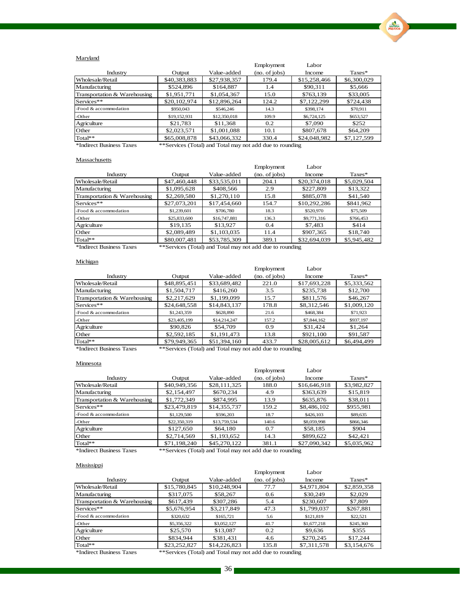#### Maryland

|                              |              |              | Employment    | Labor        |             |
|------------------------------|--------------|--------------|---------------|--------------|-------------|
| Industry                     | Output       | Value-added  | (no. of jobs) | Income       | $Taxes*$    |
| Wholesale/Retail             | \$40,383,883 | \$27,938,357 | 179.4         | \$15,258,466 | \$6,300,029 |
| Manufacturing                | \$524,896    | \$164,887    | 1.4           | \$90,311     | \$5,666     |
| Transportation & Warehousing | \$1,951,771  | \$1,054,367  | 15.0          | \$763,139    | \$33,005    |
| Services**                   | \$20,102,974 | \$12,896,264 | 124.2         | \$7,122,299  | \$724,438   |
| -Food & accommodation        | \$950,043    | \$546,246    | 14.3          | \$398,174    | \$70,911    |
| -Other                       | \$19,152,931 | \$12,350,018 | 109.9         | \$6,724,125  | \$653,527   |
| Agriculture                  | \$21,783     | \$11,368     | 0.2           | \$7,090      | \$252       |
| Other                        | \$2,023,571  | \$1,001,088  | 10.1          | \$807,678    | \$64,209    |
| Total**                      | \$65,008,878 | \$43,066,332 | 330.4         | \$24,048,982 | \$7,127,599 |

\*Indirect Business Taxes \*\*Services (Total) and Total may not add due to rounding

#### **Massachusetts**

|                              |              |                                                                                                    | Employment    | Labor        |             |
|------------------------------|--------------|----------------------------------------------------------------------------------------------------|---------------|--------------|-------------|
| Industry                     | Output       | Value-added                                                                                        | (no. of jobs) | Income       | Taxes*      |
| Wholesale/Retail             | \$47,460,448 | \$33,535,011                                                                                       | 204.1         | \$20,374,018 | \$5,029,504 |
| Manufacturing                | \$1,095,628  | \$408,566                                                                                          | 2.9           | \$227,809    | \$13,322    |
| Transportation & Warehousing | \$2,269,580  | \$1,270,110                                                                                        | 15.8          | \$885,078    | \$41,540    |
| Services**                   | \$27,073,201 | \$17,454,660                                                                                       | 154.7         | \$10,292,286 | \$841,962   |
| -Food & accommodation        | \$1,239,601  | \$706,780                                                                                          | 18.3          | \$520,970    | \$75,509    |
| -Other                       | \$25,833,600 | \$16,747,881                                                                                       | 136.3         | \$9,771,316  | \$766,453   |
| Agriculture                  | \$19,135     | \$13.927                                                                                           | 0.4           | \$7.483      | \$414       |
| <b>Other</b>                 | \$2,089,489  | \$1,103,035                                                                                        | 11.4          | \$907,365    | \$18,740    |
| Total**                      | \$80,007,481 | \$53,785,309                                                                                       | 389.1         | \$32,694,039 | \$5,945,482 |
| $+1$ $+1$ $+1$ $+1$          |              | $-4.40$ . The $\sqrt{m}$ set $N = 1$ and $\sqrt{m}$ set $-1$ such that $-1$ is $-1$ such that $-1$ |               |              |             |

\*Indirect Business Taxes \*\*Services (Total) and Total may not add due to rounding

#### Michigan

|                                                                                      |              |              | Employment    | Labor        |             |  |
|--------------------------------------------------------------------------------------|--------------|--------------|---------------|--------------|-------------|--|
| Industry                                                                             | Output       | Value-added  | (no. of jobs) | Income       | Taxes*      |  |
| Wholesale/Retail                                                                     | \$48,895,451 | \$33,689,482 | 221.0         | \$17,693,228 | \$5,333,562 |  |
| Manufacturing                                                                        | \$1,504,717  | \$416,260    | 3.5           | \$235,738    | \$12,700    |  |
| Transportation & Warehousing                                                         | \$2,217,629  | \$1,199,099  | 15.7          | \$811,576    | \$46,267    |  |
| Services**                                                                           | \$24,648,558 | \$14,843,137 | 178.8         | \$8,312,546  | \$1,009,120 |  |
| -Food & accommodation                                                                | \$1,243,359  | \$628,890    | 21.6          | \$468,384    | \$71,923    |  |
| -Other                                                                               | \$23,405,199 | \$14,214,247 | 157.2         | \$7,844,162  | \$937,197   |  |
| Agriculture                                                                          | \$90,826     | \$54,709     | 0.9           | \$31.424     | \$1,264     |  |
| Other                                                                                | \$2,592,185  | \$1,191,473  | 13.8          | \$921,100    | \$91,587    |  |
| Total**                                                                              | \$79,949,365 | \$51,394,160 | 433.7         | \$28,005,612 | \$6,494,499 |  |
| **Services (Total) and Total may not add due to rounding<br>*Indirect Business Taxes |              |              |               |              |             |  |

#### Minnesota

|                              |              |              | Employment    | Labor        |             |
|------------------------------|--------------|--------------|---------------|--------------|-------------|
| Industry                     | Output       | Value-added  | (no. of jobs) | Income       | Taxes*      |
| Wholesale/Retail             | \$40,949,356 | \$28,111,325 | 188.0         | \$16,646,918 | \$3,982,827 |
| Manufacturing                | \$2,154,497  | \$670,234    | 4.9           | \$363,639    | \$15,819    |
| Transportation & Warehousing | \$1,772,349  | \$874,995    | 13.9          | \$635,876    | \$38,011    |
| Services**                   | \$23,479,819 | \$14,355,737 | 159.2         | \$8,486,102  | \$955,981   |
| -Food & accommodation        | \$1,129,500  | \$596,203    | 18.7          | \$426,103    | \$89,635    |
| -Other                       | \$22,350,319 | \$13,759,534 | 140.6         | \$8,059,998  | \$866,346   |
| Agriculture                  | \$127,650    | \$64,180     | 0.7           | \$58,185     | \$904       |
| Other                        | \$2,714,569  | \$1,193,652  | 14.3          | \$899,622    | \$42,421    |
| Total**                      | \$71,198,240 | \$45,270,122 | 381.1         | \$27,090,342 | \$5,035,962 |

\*Indirect Business Taxes \*\*Services (Total) and Total may not add due to rounding

#### Mississippi

|                              |              |              | Employment    | Labor       |             |
|------------------------------|--------------|--------------|---------------|-------------|-------------|
| Industry                     | Output       | Value-added  | (no. of jobs) | Income      | $Taxes*$    |
| Wholesale/Retail             | \$15,780,845 | \$10,248,904 | 77.7          | \$4,971,804 | \$2,859,358 |
| Manufacturing                | \$317,075    | \$58,267     | 0.6           | \$30,249    | \$2,029     |
| Transportation & Warehousing | \$617,439    | \$307,286    | 5.4           | \$230,607   | \$7,809     |
| Services**                   | \$5,676,954  | \$3,217,849  | 47.3          | \$1,799,037 | \$267,881   |
| -Food & accommodation        | \$320,632    | \$165,721    | 5.6           | \$121,819   | \$22,521    |
| -Other                       | \$5,356,322  | \$3,052,127  | 41.7          | \$1,677,218 | \$245,360   |
| Agriculture                  | \$25,570     | \$13,087     | 0.2           | \$9,636     | \$355       |
| Other                        | \$834,944    | \$381,431    | 4.6           | \$270,245   | \$17,244    |
| Total**                      | \$23,252,827 | \$14,226,823 | 135.8         | \$7,311,578 | \$3,154,676 |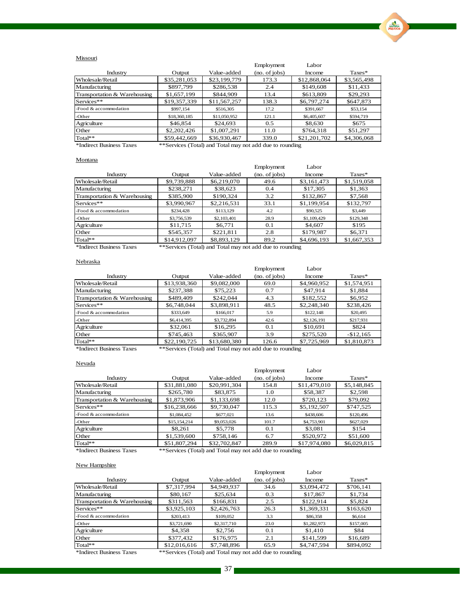#### Missouri

|                              |              |              | Employment    | Labor        |             |
|------------------------------|--------------|--------------|---------------|--------------|-------------|
| Industry                     | Output       | Value-added  | (no. of jobs) | Income       | $Taxes*$    |
| Wholesale/Retail             | \$35,281,053 | \$23,199,779 | 173.3         | \$12,868,064 | \$3,565,498 |
| Manufacturing                | \$897,799    | \$286,538    | 2.4           | \$149,608    | \$11,433    |
| Transportation & Warehousing | \$1,657,199  | \$844,909    | 13.4          | \$613,809    | \$29,293    |
| Services**                   | \$19,357,339 | \$11,567,257 | 138.3         | \$6,797,274  | \$647,873   |
| -Food & accommodation        | \$997.154    | \$516,305    | 17.2          | \$391,667    | \$53,154    |
| -Other                       | \$18,360,185 | \$11,050,952 | 121.1         | \$6,405,607  | \$594,719   |
| Agriculture                  | \$46,854     | \$24,693     | 0.5           | \$8,630      | \$675       |
| Other                        | \$2,202,426  | \$1,007,291  | 11.0          | \$764,318    | \$51,297    |
| Total**                      | \$59,442,669 | \$36,930,467 | 339.0         | \$21,201,702 | \$4,306,068 |

\*Indirect Business Taxes \*\*Services (Total) and Total may not add due to rounding

#### Montana

|                              |              |             | Employment    | Labor       |             |
|------------------------------|--------------|-------------|---------------|-------------|-------------|
| Industry                     | Output       | Value-added | (no. of jobs) | Income      | Taxes*      |
| Wholesale/Retail             | \$9,739,888  | \$6,219,070 | 49.6          | \$3,161,473 | \$1,519,058 |
| Manufacturing                | \$238,271    | \$38,623    | 0.4           | \$17,305    | \$1,363     |
| Transportation & Warehousing | \$385,900    | \$190,324   | 3.2           | \$132,867   | \$7,568     |
| Services**                   | \$3,990,967  | \$2,216,531 | 33.1          | \$1,199,954 | \$132,797   |
| -Food & accommodation        | \$234,428    | \$113.129   | 4.2           | \$90,525    | \$3,449     |
| -Other                       | \$3,756,539  | \$2,103,401 | 28.9          | \$1,109,429 | \$129,348   |
| Agriculture                  | \$11,715     | \$6,771     | 0.1           | \$4,607     | \$195       |
| Other                        | \$545,357    | \$221,811   | 2.8           | \$179,987   | \$6,371     |
| Total**                      | \$14,912,097 | \$8,893,129 | 89.2          | \$4,696,193 | \$1,667,353 |

\*Indirect Business Taxes \*\*Services (Total) and Total may not add due to rounding

#### Nebraska

|                              |              |              | Employment    | Labor       |             |
|------------------------------|--------------|--------------|---------------|-------------|-------------|
| Industry                     | Output       | Value-added  | (no. of jobs) | Income      | Taxes*      |
| Wholesale/Retail             | \$13,938,360 | \$9,082,000  | 69.0          | \$4,960,952 | \$1,574,951 |
| Manufacturing                | \$237,388    | \$75,223     | 0.7           | \$47,914    | \$1,884     |
| Transportation & Warehousing | \$489,409    | \$242,044    | 4.3           | \$182,552   | \$6,952     |
| Services**                   | \$6,748,044  | \$3,898,911  | 48.5          | \$2,248,340 | \$238,426   |
| -Food & accommodation        | \$333,649    | \$166,017    | 5.9           | \$122,148   | \$20,495    |
| -Other                       | \$6,414,395  | \$3,732,894  | 42.6          | \$2,126,191 | \$217.931   |
| Agriculture                  | \$32,061     | \$16,295     | 0.1           | \$10,691    | \$824       |
| Other                        | \$745,463    | \$365,907    | 3.9           | \$275,520   | $-$12,165$  |
| Total**                      | \$22,190,725 | \$13,680,380 | 126.6         | \$7,725,969 | \$1,810,873 |
|                              |              |              |               |             |             |

\*Indirect Business Taxes \*\*Services (Total) and Total may not add due to rounding

#### Nevada

|                              |              |              | Employment    | Labor         |             |
|------------------------------|--------------|--------------|---------------|---------------|-------------|
| Industry                     | Output       | Value-added  | (no. of jobs) | <b>Income</b> | $Taxes*$    |
| Wholesale/Retail             | \$31,881,080 | \$20,991,304 | 154.8         | \$11,479,010  | \$5,148,845 |
| Manufacturing                | \$265,780    | \$83,875     | 1.0           | \$58,387      | \$2,598     |
| Transportation & Warehousing | \$1,873,906  | \$1,133,698  | 12.0          | \$720,123     | \$79,092    |
| Services**                   | \$16,238,666 | \$9,730,047  | 115.3         | \$5,192,507   | \$747,525   |
| -Food & accommodation        | \$1,084,452  | \$677,021    | 13.6          | \$438,606     | \$120,496   |
| -Other                       | \$15,154,214 | \$9,053,026  | 101.7         | \$4,753,901   | \$627,029   |
| Agriculture                  | \$8,261      | \$5,778      | 0.1           | \$3,081       | \$154       |
| Other                        | \$1,539,600  | \$758,146    | 6.7           | \$520,972     | \$51,600    |
| Total**                      | \$51,807,294 | \$32,702,847 | 289.9         | \$17,974,080  | \$6,029,815 |

\*Indirect Business Taxes \*\*Services (Total) and Total may not add due to rounding

#### New Hampshire

|                              |              |             | Employment    | Labor       |           |
|------------------------------|--------------|-------------|---------------|-------------|-----------|
| Industry                     | Output       | Value-added | (no. of jobs) | Income      | Taxes*    |
| Wholesale/Retail             | \$7,317,994  | \$4,949,937 | 34.6          | \$3,094,472 | \$706,141 |
| Manufacturing                | \$80,167     | \$25,634    | 0.3           | \$17,867    | \$1,734   |
| Transportation & Warehousing | \$311,563    | \$166,831   | 2.5           | \$122,914   | \$5,824   |
| Services**                   | \$3,925,103  | \$2,426,763 | 26.3          | \$1,369,331 | \$163,620 |
| -Food & accommodation        | \$203,413    | \$109,052   | 3.3           | \$86,358    | \$6,614   |
| -Other                       | \$3,721,690  | \$2,317,710 | 23.0          | \$1,282,973 | \$157,005 |
| Agriculture                  | \$4,358      | \$2,756     | 0.1           | \$1,410     | \$84      |
| Other                        | \$377,432    | \$176,975   | 2.1           | \$141,599   | \$16,689  |
| Total**                      | \$12,016,616 | \$7,748,896 | 65.9          | \$4,747,594 | \$894,092 |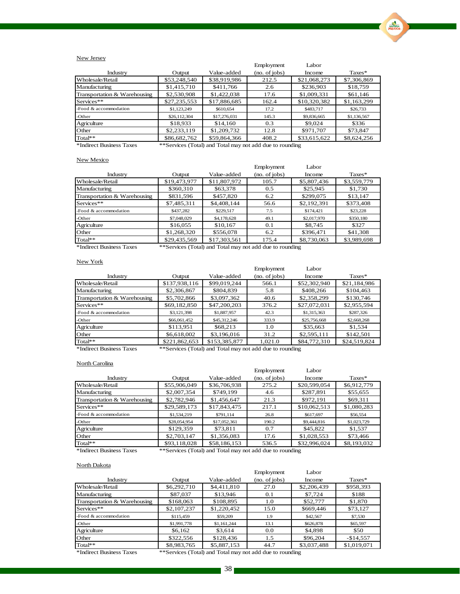#### New Jersey

|                              |              |              | Employment    | Labor        |             |
|------------------------------|--------------|--------------|---------------|--------------|-------------|
| Industry                     | Output       | Value-added  | (no. of jobs) | Income       | Taxes*      |
| Wholesale/Retail             | \$53,248,540 | \$38,919,986 | 212.5         | \$21,068,273 | \$7,306,869 |
| Manufacturing                | \$1,415,710  | \$411,766    | 2.6           | \$236,903    | \$18,759    |
| Transportation & Warehousing | \$2,530,908  | \$1,422,038  | 17.6          | \$1,009,331  | \$61,146    |
| Services**                   | \$27,235,553 | \$17,886,685 | 162.4         | \$10,320,382 | \$1,163,299 |
| -Food & accommodation        | \$1,123,249  | \$610,654    | 17.2          | \$483,717    | \$26,733    |
| -Other                       | \$26,112,304 | \$17,276,031 | 145.3         | \$9,836,665  | \$1,136,567 |
| Agriculture                  | \$18,933     | \$14,160     | 0.3           | \$9,024      | \$336       |
| Other                        | \$2,233,119  | \$1,209,732  | 12.8          | \$971,707    | \$73,847    |
| $Total**$                    | \$86,682,762 | \$59,864,366 | 408.2         | \$33,615,622 | \$8,624,256 |

\*Indirect Business Taxes \*\*Services (Total) and Total may not add due to rounding

#### New Mexico

|                                                                                                                                                                                                                                                                                                                                                    |              |              | Employment                                | Labor       |             |
|----------------------------------------------------------------------------------------------------------------------------------------------------------------------------------------------------------------------------------------------------------------------------------------------------------------------------------------------------|--------------|--------------|-------------------------------------------|-------------|-------------|
| Industry                                                                                                                                                                                                                                                                                                                                           | Output       | Value-added  | (no. of jobs)                             | Income      | Taxes*      |
| Wholesale/Retail                                                                                                                                                                                                                                                                                                                                   | \$19,473,977 | \$11,807,972 | 105.7                                     | \$5,807,436 | \$3,559,779 |
| Manufacturing                                                                                                                                                                                                                                                                                                                                      | \$360,310    | \$63,378     | 0.5                                       | \$25,945    | \$1,730     |
| Transportation & Warehousing                                                                                                                                                                                                                                                                                                                       | \$831,596    | \$457,820    | 6.2                                       | \$299,075   | \$13,147    |
| Services**                                                                                                                                                                                                                                                                                                                                         | \$7,485,311  | \$4,408,144  | 56.6                                      | \$2,192,391 | \$373,408   |
| -Food & accommodation                                                                                                                                                                                                                                                                                                                              | \$437,282    | \$229,517    | 7.5                                       | \$174,421   | \$23,228    |
| -Other                                                                                                                                                                                                                                                                                                                                             | \$7,048,029  | \$4,178,628  | 49.1                                      | \$2,017,970 | \$350,180   |
| Agriculture                                                                                                                                                                                                                                                                                                                                        | \$16,055     | \$10,167     | 0.1                                       | \$8,745     | \$327       |
| Other                                                                                                                                                                                                                                                                                                                                              | \$1,268,320  | \$556,078    | 6.2                                       | \$396,471   | \$41,308    |
| Total**                                                                                                                                                                                                                                                                                                                                            | \$29,435,569 | \$17,303,561 | 175.4                                     | \$8,730,063 | \$3,989,698 |
| $\mathbf{A}$ $\mathbf{I}$ $\mathbf{I}$ $\mathbf{I}$ $\mathbf{I}$ $\mathbf{I}$ $\mathbf{I}$ $\mathbf{I}$ $\mathbf{I}$ $\mathbf{I}$ $\mathbf{I}$ $\mathbf{I}$ $\mathbf{I}$ $\mathbf{I}$ $\mathbf{I}$ $\mathbf{I}$ $\mathbf{I}$ $\mathbf{I}$ $\mathbf{I}$ $\mathbf{I}$ $\mathbf{I}$ $\mathbf{I}$ $\mathbf{I}$ $\mathbf{I}$ $\mathbf{$<br>$\mathbf{r}$ |              |              | $\sim$ $\sim$ $\sim$ $\sim$ $\sim$ $\sim$ |             |             |

\*Indirect Business Taxes \*\*Services (Total) and Total may not add due to rounding

#### New York

|                                                                                      |               |               | Employment    | Labor        |              |  |
|--------------------------------------------------------------------------------------|---------------|---------------|---------------|--------------|--------------|--|
| Industry                                                                             | Output        | Value-added   | (no. of jobs) | Income       | Taxes*       |  |
| Wholesale/Retail                                                                     | \$137,938,116 | \$99,019,244  | 566.1         | \$52,302,940 | \$21,184,986 |  |
| Manufacturing                                                                        | \$2,306,867   | \$804.839     | 5.8           | \$408,266    | \$104,463    |  |
| Transportation & Warehousing                                                         | \$5,702,866   | \$3,097,362   | 40.6          | \$2,358,299  | \$130,746    |  |
| Services**                                                                           | \$69,182,850  | \$47,200,203  | 376.2         | \$27,072,031 | \$2,955,594  |  |
| -Food & accommodation                                                                | \$3,121,398   | \$1,887,957   | 42.3          | \$1,315,363  | \$287,326    |  |
| -Other                                                                               | \$66,061,452  | \$45,312,246  | 333.9         | \$25,756,668 | \$2,668,268  |  |
| Agriculture                                                                          | \$113,951     | \$68,213      | 1.0           | \$35,663     | \$1,534      |  |
| Other                                                                                | \$6,618,002   | \$3,196,016   | 31.2          | \$2,595,111  | \$142,501    |  |
| Total**                                                                              | \$221,862,653 | \$153,385,877 | 1,021.0       | \$84,772,310 | \$24,519,824 |  |
| **Services (Total) and Total may not add due to rounding<br>*Indirect Business Taxes |               |               |               |              |              |  |

#### North Carolina

|                              |              |              | Employment    | Labor        |             |
|------------------------------|--------------|--------------|---------------|--------------|-------------|
| Industry                     | Output       | Value-added  | (no. of jobs) | Income       | $Taxes*$    |
| Wholesale/Retail             | \$55,906,049 | \$36,706,938 | 275.2         | \$20,599,054 | \$6,912,779 |
| Manufacturing                | \$2,007,354  | \$749.199    | 4.6           | \$287,891    | \$55,655    |
| Transportation & Warehousing | \$2,782,946  | \$1,456,647  | 21.3          | \$972,191    | \$69,311    |
| Services**                   | \$29,589,173 | \$17,843,475 | 217.1         | \$10,062,513 | \$1,080,283 |
| -Food & accommodation        | \$1,534,219  | \$791.114    | 26.8          | \$617,697    | \$56,554    |
| -Other                       | \$28,054,954 | \$17,052,361 | 190.2         | \$9,444,816  | \$1,023,729 |
| Agriculture                  | \$129,359    | \$73.811     | 0.7           | \$45,822     | \$1,537     |
| <b>Other</b>                 | \$2,703,147  | \$1,356,083  | 17.6          | \$1,028,553  | \$73,466    |
| Total**                      | \$93,118,028 | \$58,186,153 | 536.5         | \$32,996,024 | \$8,193,032 |

\*Indirect Business Taxes \*\*Services (Total) and Total may not add due to rounding

#### North Dakota

|                              |             |             | Employment    | Labor       |             |
|------------------------------|-------------|-------------|---------------|-------------|-------------|
| Industry                     | Output      | Value-added | (no. of jobs) | Income      | Taxes*      |
| Wholesale/Retail             | \$6,292,710 | \$4,411,810 | 27.0          | \$2,206,439 | \$958,393   |
| Manufacturing                | \$87,037    | \$13,946    | 0.1           | \$7,724     | \$188       |
| Transportation & Warehousing | \$168,063   | \$108,895   | 1.0           | \$52,777    | \$1,870     |
| Services**                   | \$2,107,237 | \$1,220,452 | 15.0          | \$669,446   | \$73,127    |
| -Food & accommodation        | \$115,459   | \$59,209    | 1.9           | \$42,567    | \$7,530     |
| -Other                       | \$1,991,778 | \$1,161,244 | 13.1          | \$626,878   | \$65,597    |
| Agriculture                  | \$6,162     | \$3,614     | 0.0           | \$4,898     | \$50        |
| Other                        | \$322,556   | \$128,436   | 1.5           | \$96,204    | $-$14,557$  |
| Total**                      | \$8,983,765 | \$5,887,153 | 44.7          | \$3,037,488 | \$1,019,071 |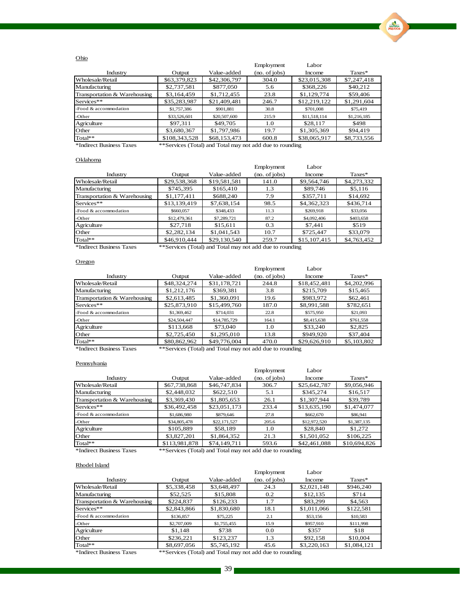#### Ohio

|                              |               |              | Employment    | Labor        |             |
|------------------------------|---------------|--------------|---------------|--------------|-------------|
| Industry                     | Output        | Value-added  | (no. of jobs) | Income       | Taxes*      |
| Wholesale/Retail             | \$63,379,823  | \$42,306,797 | 304.0         | \$23,015,308 | \$7,247,418 |
| Manufacturing                | \$2,737,581   | \$877,050    | 5.6           | \$368,226    | \$40,212    |
| Transportation & Warehousing | \$3,164,459   | \$1,712,455  | 23.8          | \$1,129,774  | \$59,406    |
| Services**                   | \$35,283,987  | \$21,409,481 | 246.7         | \$12,219,122 | \$1,291,604 |
| -Food & accommodation        | \$1,757,386   | \$901.881    | 30.8          | \$701,008    | \$75,419    |
| -Other                       | \$33,526,601  | \$20,507,600 | 215.9         | \$11,518,114 | \$1,216,185 |
| Agriculture                  | \$97,311      | \$49,705     | 1.0           | \$28,117     | \$498       |
| Other                        | \$3,680,367   | \$1,797,986  | 19.7          | \$1,305,369  | \$94,419    |
| Total**                      | \$108,343,528 | \$68,153,473 | 600.8         | \$38,065,917 | \$8,733,556 |

\*Indirect Business Taxes \*\*Services (Total) and Total may not add due to rounding

#### Oklahoma

|                                                                                                                                                   |                            |              | Employment        | Labor        |             |
|---------------------------------------------------------------------------------------------------------------------------------------------------|----------------------------|--------------|-------------------|--------------|-------------|
| Industry                                                                                                                                          | Output                     | Value-added  | (no. of jobs)     | Income       | Taxes*      |
| Wholesale/Retail                                                                                                                                  | \$29,538,368               | \$19,581,581 | 141.0             | \$9,564,746  | \$4,273,332 |
| Manufacturing                                                                                                                                     | \$745,395                  | \$165,410    | 1.3               | \$89,746     | \$5,116     |
| Transportation & Warehousing                                                                                                                      | \$1,177,411                | \$688,240    | 7.9               | \$357,711    | \$14,692    |
| $S$ ervices $**$                                                                                                                                  | \$13,139,419               | \$7,638,154  | 98.5              | \$4,362,323  | \$436,714   |
| -Food & accommodation                                                                                                                             | \$660,057                  | \$348,433    | 11.3              | \$269,918    | \$33,056    |
| -Other                                                                                                                                            | \$12,479,361               | \$7,289,721  | 87.2              | \$4,092,406  | \$403,658   |
| Agriculture                                                                                                                                       | \$27,718                   | \$15,611     | 0.3               | \$7,441      | \$519       |
| Other                                                                                                                                             | \$2,282,134                | \$1,041,543  | 10.7              | \$725,447    | \$33,079    |
| Total**                                                                                                                                           | \$46,910,444               | \$29,130,540 | 259.7             | \$15,107,415 | \$4,763,452 |
| $\mathbf{u}$ $\mathbf{r}$ $\mathbf{u}$ $\mathbf{r}$ $\mathbf{v}$ $\mathbf{r}$ $\mathbf{v}$ $\mathbf{r}$ $\mathbf{v}$ $\mathbf{r}$<br>$\mathbf{r}$ | also also affects the con- |              | $\cdots$ $\cdots$ |              |             |

\*Indirect Business Taxes \*\*Services (Total) and Total may not add due to rounding

#### Oregon

Industry Output Value-added Employment (no. of jobs) Labor Income Taxes\* Wholesale/Retail \$48,324,274 \$31,178,721 244.8 \$18,452,481 \$4,202,996 Manufacturing \$1,212,176 \$369,381 3.8 \$215,709 \$15,465<br>Transportation & Warehousing \$2,613,485 \$1,360,091 19.6 \$983,972 \$62,461 Transportation & Warehousing \$2,613,485 \$1,360,091 19.6 \$983,972 \$62,461<br>Services\*\* \$25,873,910 \$15,499,760 187.0 \$8,991,588 \$782,651 \$25,873,910 Food & accommodation \$1,369,462 \$714,031 22.8 \$575,950 \$21,093 -Other \$24,504,447 \$14,785,729 164.1 \$8,415,638 \$761,558 Agriculture **\$113,668** \$73,040 1.0 \$33,240 \$2,825 Other \$2,725,450 \$1,295,010 13.8 \$949,920 \$37,404 Total\*\* \$80,862,962 \$49,776,004 470.0 \$29,626,910 \$5,103,802

\*Indirect Business Taxes \*\*Services (Total) and Total may not add due to rounding

#### Pennsylvania

|                              |               |              | <b>ЕЛИРЮ УПЕЛЕ</b> | Lavu         |              |
|------------------------------|---------------|--------------|--------------------|--------------|--------------|
| Industry                     | Output        | Value-added  | (no. of jobs)      | Income       | Taxes*       |
| Wholesale/Retail             | \$67,738,868  | \$46,747,834 | 306.7              | \$25,642,787 | \$9,056,946  |
| Manufacturing                | \$2,448,032   | \$622,510    | 5.1                | \$345,274    | \$16,517     |
| Transportation & Warehousing | \$3,369,430   | \$1,805,653  | 26.1               | \$1,307,944  | \$39,789     |
| Services**                   | \$36,492,458  | \$23,051,173 | 233.4              | \$13,635,190 | \$1,474,077  |
| -Food & accommodation        | \$1,686,980   | \$879,646    | 27.8               | \$662,670    | \$86,941     |
| -Other                       | \$34,805,478  | \$22,171,527 | 205.6              | \$12,972,520 | \$1,387,135  |
| Agriculture                  | \$105,889     | \$58,189     | 1.0                | \$28,840     | \$1,272      |
| <b>Other</b>                 | \$3,827,201   | \$1,864,352  | 21.3               | \$1,501,052  | \$106,225    |
| Total**                      | \$113,981,878 | \$74,149,711 | 593.6              | \$42,461,088 | \$10,694,826 |

Employment

Labor

\*Indirect Business Taxes \*\*Services (Total) and Total may not add due to rounding

#### Rhodel Island

|                              |             |             | Employment    | Labor         |             |
|------------------------------|-------------|-------------|---------------|---------------|-------------|
| Industry                     | Output      | Value-added | (no. of jobs) | <b>Income</b> | Taxes*      |
| Wholesale/Retail             | \$5,338,458 | \$3,648,497 | 24.3          | \$2,021,148   | \$946,240   |
| Manufacturing                | \$52,525    | \$15,808    | 0.2           | \$12,135      | \$714       |
| Transportation & Warehousing | \$224,837   | \$126,233   | 1.7           | \$83,299      | \$4,563     |
| Services**                   | \$2,843,866 | \$1,830,680 | 18.1          | \$1,011,066   | \$122,581   |
| -Food & accommodation        | \$136,857   | \$75,225    | 2.1           | \$53,156      | \$10,583    |
| -Other                       | \$2,707,009 | \$1,755,455 | 15.9          | \$957,910     | \$111,998   |
| Agriculture                  | \$1,148     | \$738       | 0.0           | \$357         | \$18        |
| <b>Other</b>                 | \$236,221   | \$123,237   | 1.3           | \$92,158      | \$10,004    |
| Total**                      | \$8,697,056 | \$5,745,192 | 45.6          | \$3,220,163   | \$1,084,121 |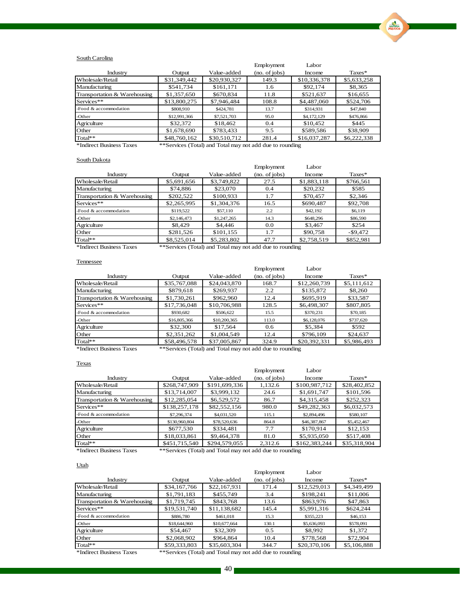#### South Carolina

|                              |              |              | Employment    | Labor        |             |
|------------------------------|--------------|--------------|---------------|--------------|-------------|
| Industry                     | Output       | Value-added  | (no. of jobs) | Income       | $Taxes*$    |
| Wholesale/Retail             | \$31,349,442 | \$20,930,327 | 149.3         | \$10,336,378 | \$5,633,258 |
| Manufacturing                | \$541,734    | \$161,171    | 1.6           | \$92,174     | \$8,365     |
| Transportation & Warehousing | \$1,357,650  | \$670,834    | 11.8          | \$521,637    | \$16,655    |
| Services**                   | \$13,800,275 | \$7,946,484  | 108.8         | \$4,487,060  | \$524,706   |
| -Food & accommodation        | \$808,910    | \$424,781    | 13.7          | \$314.931    | \$47,840    |
| -Other                       | \$12,991,366 | \$7,521,703  | 95.0          | \$4,172,129  | \$476,866   |
| Agriculture                  | \$32,372     | \$18,462     | 0.4           | \$10.452     | \$445       |
| Other                        | \$1,678,690  | \$783,433    | 9.5           | \$589,586    | \$38,909    |
| Total**                      | \$48,760,162 | \$30,510,712 | 281.4         | \$16,037,287 | \$6,222,338 |

\*Indirect Business Taxes \*\*Services (Total) and Total may not add due to rounding

#### South Dakota

|                              |             |             | Employment    | Labor       |             |
|------------------------------|-------------|-------------|---------------|-------------|-------------|
| Industry                     | Output      | Value-added | (no. of jobs) | Income      | Taxes*      |
| Wholesale/Retail             | \$5,691,656 | \$3,749,822 | 27.5          | \$1,883,118 | \$766.561   |
| Manufacturing                | \$74,886    | \$23,070    | 0.4           | \$20,232    | \$585       |
| Transportation & Warehousing | \$202,522   | \$100,933   | 1.7           | \$70,457    | \$2,346     |
| Services**                   | \$2,265,995 | \$1,304,376 | 16.5          | \$690,487   | \$92,708    |
| -Food & accommodation        | \$119,522   | \$57,110    | 2.2           | \$42,192    | \$6,119     |
| -Other                       | \$2,146,473 | \$1,247,265 | 14.3          | \$648,296   | \$86,590    |
| Agriculture                  | \$8,429     | \$4,446     | 0.0           | \$3,467     | \$254       |
| <b>Other</b>                 | \$281,526   | \$101,155   | 1.7           | \$90,758    | $-$ \$9,472 |
| Total**                      | \$8,525,014 | \$5,283,802 | 47.7          | \$2,758,519 | \$852,981   |

\*Indirect Business Taxes \*\*Services (Total) and Total may not add due to rounding

#### Tennessee

|                                                                                      |              |              | Employment    | Labor        |             |  |
|--------------------------------------------------------------------------------------|--------------|--------------|---------------|--------------|-------------|--|
| Industry                                                                             | Output       | Value-added  | (no. of jobs) | Income       | Taxes*      |  |
| Wholesale/Retail                                                                     | \$35,767,088 | \$24,043,870 | 168.7         | \$12,260,739 | \$5,111,612 |  |
| Manufacturing                                                                        | \$879,618    | \$269,937    | 2.2           | \$135,872    | \$8,260     |  |
| Transportation & Warehousing                                                         | \$1,730,261  | \$962,960    | 12.4          | \$695,919    | \$33,587    |  |
| Services**                                                                           | \$17,736,048 | \$10,706,988 | 128.5         | \$6,498,307  | \$807,805   |  |
| -Food & accommodation                                                                | \$930,682    | \$506,622    | 15.5          | \$370.231    | \$70,185    |  |
| -Other                                                                               | \$16,805,366 | \$10,200,365 | 113.0         | \$6,128,076  | \$737,620   |  |
| Agriculture                                                                          | \$32,300     | \$17.564     | 0.6           | \$5,384      | \$592       |  |
| Other                                                                                | \$2,351,262  | \$1,004,549  | 12.4          | \$796,109    | \$24,637    |  |
| Total**                                                                              | \$58,496,578 | \$37,005,867 | 324.9         | \$20,392,331 | \$5,986,493 |  |
| *Indirect Business Taxes<br>**Services (Total) and Total may not add due to rounding |              |              |               |              |             |  |

#### Texas

| ------                       |               |               | Employment    | Labor         |              |
|------------------------------|---------------|---------------|---------------|---------------|--------------|
| Industry                     | Output        | Value-added   | (no. of jobs) | Income        | Taxes*       |
| Wholesale/Retail             | \$268,747,909 | \$191,699,336 | 1,132.6       | \$100,987,712 | \$28,402,852 |
| Manufacturing                | \$13,714,007  | \$3,999,132   | 24.6          | \$1,691,747   | \$101,596    |
| Transportation & Warehousing | \$12,285,054  | \$6,529,572   | 86.7          | \$4,315,458   | \$252,323    |
| Services**                   | \$138,257,178 | \$82,552,156  | 980.0         | \$49,282,363  | \$6,032,573  |
| -Food & accommodation        | \$7,296,374   | \$4,031,520   | 115.1         | \$2,894,496   | \$580,107    |
| -Other                       | \$130,960,804 | \$78,520,636  | 864.8         | \$46,387,867  | \$5,452,467  |
| Agriculture                  | \$677,530     | \$334,481     | 7.7           | \$170.914     | \$12,153     |
| <b>Other</b>                 | \$18,033,861  | \$9,464,378   | 81.0          | \$5,935,050   | \$517,408    |
| Total**                      | \$451,715,540 | \$294,579,055 | 2,312.6       | \$162,383,244 | \$35,318,904 |

\*Indirect Business Taxes \*\*Services (Total) and Total may not add due to rounding

#### Utah

|                              |              |              | Employment    | Labor        |             |
|------------------------------|--------------|--------------|---------------|--------------|-------------|
| Industry                     | Output       | Value-added  | (no. of jobs) | Income       | Taxes*      |
| Wholesale/Retail             | \$34,167,766 | \$22,167,931 | 171.4         | \$12,529,013 | \$4,349,499 |
| Manufacturing                | \$1,791,183  | \$455,749    | 3.4           | \$198,241    | \$11,006    |
| Transportation & Warehousing | \$1,719,745  | \$843,768    | 13.6          | \$863,976    | \$47,863    |
| Services**                   | \$19,531,740 | \$11,138,682 | 145.4         | \$5,991,316  | \$624,244   |
| -Food & accommodation        | \$886,780    | \$461,018    | 15.3          | \$355,223    | \$46,153    |
| -Other                       | \$18,644,960 | \$10,677,664 | 130.1         | \$5,636,093  | \$578,091   |
| Agriculture                  | \$54,467     | \$32,309     | 0.5           | \$8,992      | \$1,372     |
| Other                        | \$2,068,902  | \$964,864    | 10.4          | \$778,568    | \$72,904    |
| Total**                      | \$59,333,803 | \$35,603,304 | 344.7         | \$20,370,106 | \$5,106,888 |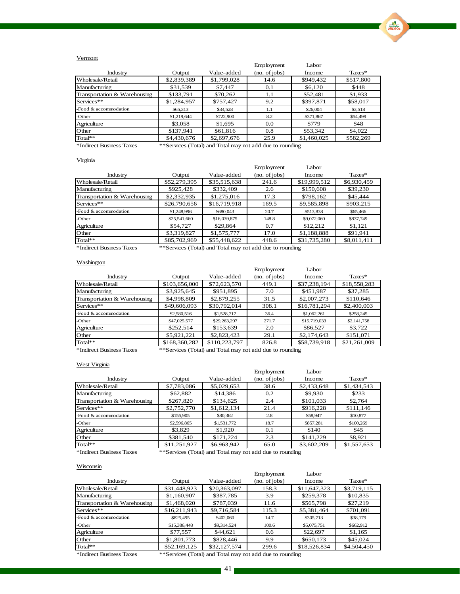#### Vermont

|                              |             |             | Employment    | Labor       |           |
|------------------------------|-------------|-------------|---------------|-------------|-----------|
| Industry                     | Output      | Value-added | (no. of jobs) | Income      | Taxes*    |
| Wholesale/Retail             | \$2,839,389 | \$1,799,028 | 14.6          | \$949,432   | \$517,800 |
| Manufacturing                | \$31,539    | \$7,447     | 0.1           | \$6,120     | \$448     |
| Transportation & Warehousing | \$133,791   | \$70,262    | 1.1           | \$52,481    | \$1,933   |
| Services**                   | \$1,284,957 | \$757,427   | 9.2           | \$397,871   | \$58,017  |
| -Food & accommodation        | \$65,313    | \$34,528    | 1.1           | \$26,004    | \$3,518   |
| -Other                       | \$1,219,644 | \$722,900   | 8.2           | \$371,867   | \$54,499  |
| Agriculture                  | \$3,058     | \$1,695     | 0.0           | \$779       | \$48      |
| Other                        | \$137,941   | \$61,816    | 0.8           | \$53,342    | \$4,022   |
| Total**                      | \$4,430,676 | \$2,697,676 | 25.9          | \$1,460,025 | \$582,269 |

\*Indirect Business Taxes \*\*Services (Total) and Total may not add due to rounding

#### Virginia

|                              |                                                          |              | Employment    | Labor        |             |  |  |
|------------------------------|----------------------------------------------------------|--------------|---------------|--------------|-------------|--|--|
| Industry                     | Output                                                   | Value-added  | (no. of jobs) | Income       | Taxes*      |  |  |
| Wholesale/Retail             | \$52,279,395                                             | \$35,515,638 | 241.6         | \$19,999,512 | \$6,930,459 |  |  |
| Manufacturing                | \$925,428                                                | \$332,409    | 2.6           | \$150,608    | \$39,230    |  |  |
| Transportation & Warehousing | \$2,332,935                                              | \$1,275,016  | 17.3          | \$798,162    | \$45,444    |  |  |
| Services**                   | \$26,790,656                                             | \$16,719,918 | 169.5         | \$9,585,898  | \$903,215   |  |  |
| -Food & accommodation        | \$1,248,996                                              | \$680,043    | 20.7          | \$513,838    | \$65,466    |  |  |
| -Other                       | \$25,541,660                                             | \$16,039,875 | 148.8         | \$9,072,060  | \$837,749   |  |  |
| Agriculture                  | \$54,727                                                 | \$29,864     | 0.7           | \$12,212     | \$1,121     |  |  |
| <b>Other</b>                 | \$3,319,827                                              | \$1,575,777  | 17.0          | \$1,188,888  | \$91,941    |  |  |
| Total**                      | \$85,702,969                                             | \$55,448,622 | 448.6         | \$31,735,280 | \$8,011,411 |  |  |
| *Indirect Business Taxes     | **Services (Total) and Total may not add due to rounding |              |               |              |             |  |  |

#### Washington

|                              |               |               | Employment    | Labor        |              |
|------------------------------|---------------|---------------|---------------|--------------|--------------|
| Industry                     | Output        | Value-added   | (no. of jobs) | Income       | $Taxes*$     |
| Wholesale/Retail             | \$103,656,000 | \$72,623,570  | 449.1         | \$37,238,194 | \$18,558,283 |
| Manufacturing                | \$3,925,645   | \$951,895     | 7.0           | \$451,987    | \$37,285     |
| Transportation & Warehousing | \$4,998,809   | \$2,879,255   | 31.5          | \$2,007,273  | \$110,646    |
| Services**                   | \$49,606,093  | \$30,792,014  | 308.1         | \$16,781,294 | \$2,400,003  |
| -Food & accommodation        | \$2,580,516   | \$1,528,717   | 36.4          | \$1,062,261  | \$258,245    |
| -Other                       | \$47,025,577  | \$29,263,297  | 271.7         | \$15,719,033 | \$2,141,758  |
| Agriculture                  | \$252,514     | \$153,639     | 2.0           | \$86,527     | \$3,722      |
| Other                        | \$5,921,221   | \$2,823,423   | 29.1          | \$2,174,643  | \$151,071    |
| Total**                      | \$168,360,282 | \$110,223,797 | 826.8         | \$58,739,918 | \$21,261,009 |

\*Indirect Business Taxes \*\*Services (Total) and Total may not add due to rounding

#### West Virginia

| $\sim$                       |              |             | Employment    | Labor         |             |
|------------------------------|--------------|-------------|---------------|---------------|-------------|
| Industry                     | Output       | Value-added | (no. of jobs) | <b>Income</b> | Taxes*      |
| Wholesale/Retail             | \$7,783,086  | \$5,029,653 | 38.6          | \$2,433,648   | \$1,434,543 |
| Manufacturing                | \$62,882     | \$14,386    | 0.2           | \$9,930       | \$233       |
| Transportation & Warehousing | \$267,820    | \$134,625   | 2.4           | \$101,033     | \$2,764     |
| Services**                   | \$2,752,770  | \$1,612,134 | 21.4          | \$916,228     | \$111,146   |
| -Food & accommodation        | \$155,905    | \$80,362    | 2.8           | \$58,947      | \$10,877    |
| -Other                       | \$2,596,865  | \$1,531,772 | 18.7          | \$857.281     | \$100.269   |
| Agriculture                  | \$3,829      | \$1,920     | 0.1           | \$140         | \$45        |
| <b>Other</b>                 | \$381,540    | \$171,224   | 2.3           | \$141,229     | \$8,921     |
| Total**                      | \$11,251,927 | \$6,963,942 | 65.0          | \$3,602,209   | \$1,557,653 |

\*Indirect Business Taxes \*\*Services (Total) and Total may not add due to rounding

#### Wisconsin

|                              |              |              | Employment    | Labor        |             |
|------------------------------|--------------|--------------|---------------|--------------|-------------|
| Industry                     | Output       | Value-added  | (no. of jobs) | Income       | Taxes*      |
| Wholesale/Retail             | \$31,448,923 | \$20,363,097 | 158.3         | \$11,647,323 | \$3,719,115 |
| Manufacturing                | \$1,160,907  | \$387,785    | 3.9           | \$259,378    | \$10,835    |
| Transportation & Warehousing | \$1,468,020  | \$787,039    | 11.6          | \$565,798    | \$27,219    |
| Services**                   | \$16,211,943 | \$9,716,584  | 115.3         | \$5,381,464  | \$701,091   |
| -Food & accommodation        | \$825,495    | \$402,060    | 14.7          | \$305,713    | \$38,179    |
| -Other                       | \$15,386,448 | \$9,314,524  | 100.6         | \$5,075,751  | \$662,912   |
| Agriculture                  | \$77,557     | \$44,621     | 0.6           | \$22,697     | \$1,165     |
| Other                        | \$1,801,773  | \$828,446    | 9.9           | \$650,173    | \$45,024    |
| Total**                      | \$52,169,125 | \$32,127,574 | 299.6         | \$18,526,834 | \$4,504,450 |